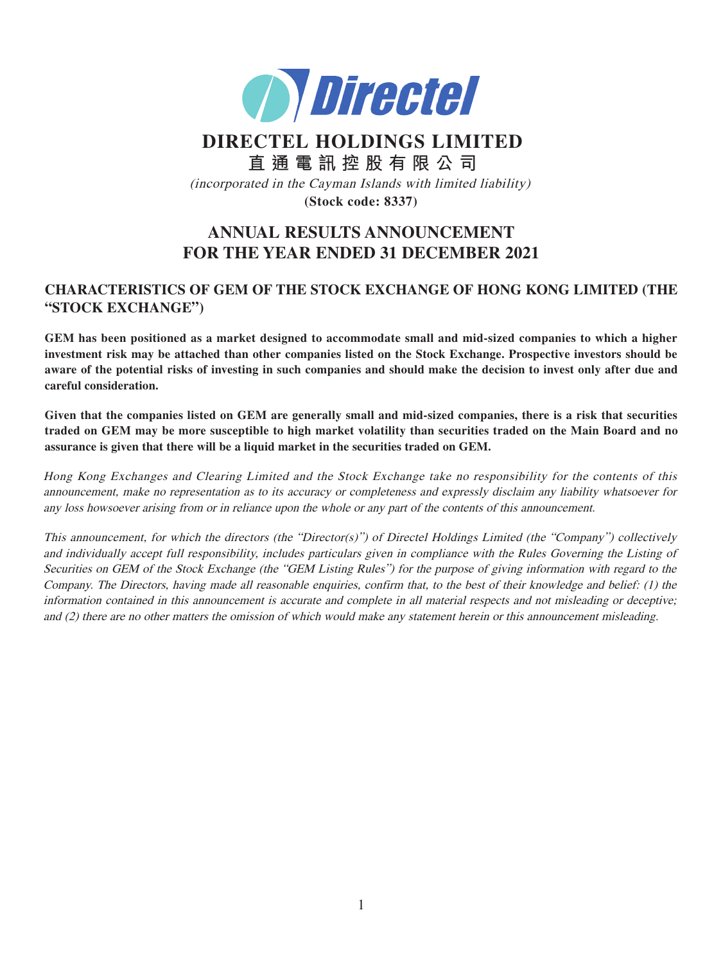

# **DIRECTEL HOLDINGS LIMITED 直通電訊控股有限公司** (incorporated in the Cayman Islands with limited liability) **(Stock code: 8337)**

# **ANNUAL RESULTS ANNOUNCEMENT FOR THE YEAR ENDED 31 DECEMBER 2021**

# **CHARACTERISTICS OF GEM OF THE STOCK EXCHANGE OF HONG KONG LIMITED (THE "STOCK EXCHANGE")**

**GEM has been positioned as a market designed to accommodate small and mid-sized companies to which a higher investment risk may be attached than other companies listed on the Stock Exchange. Prospective investors should be aware of the potential risks of investing in such companies and should make the decision to invest only after due and careful consideration.**

**Given that the companies listed on GEM are generally small and mid-sized companies, there is a risk that securities traded on GEM may be more susceptible to high market volatility than securities traded on the Main Board and no assurance is given that there will be a liquid market in the securities traded on GEM.**

Hong Kong Exchanges and Clearing Limited and the Stock Exchange take no responsibility for the contents of this announcement, make no representation as to its accuracy or completeness and expressly disclaim any liability whatsoever for any loss howsoever arising from or in reliance upon the whole or any part of the contents of this announcement.

This announcement, for which the directors (the "Director(s)") of Directel Holdings Limited (the "Company") collectively and individually accept full responsibility, includes particulars given in compliance with the Rules Governing the Listing of Securities on GEM of the Stock Exchange (the "GEM Listing Rules") for the purpose of giving information with regard to the Company. The Directors, having made all reasonable enquiries, confirm that, to the best of their knowledge and belief: (1) the information contained in this announcement is accurate and complete in all material respects and not misleading or deceptive; and (2) there are no other matters the omission of which would make any statement herein or this announcement misleading.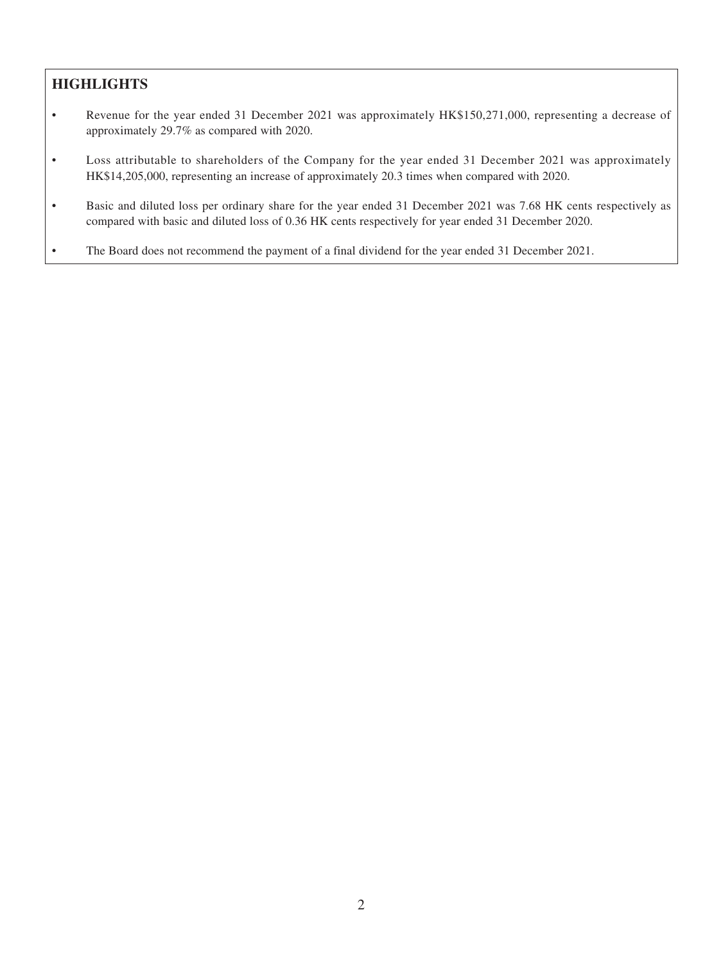# **HIGHLIGHTS**

- Revenue for the year ended 31 December 2021 was approximately HK\$150,271,000, representing a decrease of approximately 29.7% as compared with 2020.
- Loss attributable to shareholders of the Company for the year ended 31 December 2021 was approximately HK\$14,205,000, representing an increase of approximately 20.3 times when compared with 2020.
- Basic and diluted loss per ordinary share for the year ended 31 December 2021 was 7.68 HK cents respectively as compared with basic and diluted loss of 0.36 HK cents respectively for year ended 31 December 2020.
- The Board does not recommend the payment of a final dividend for the year ended 31 December 2021.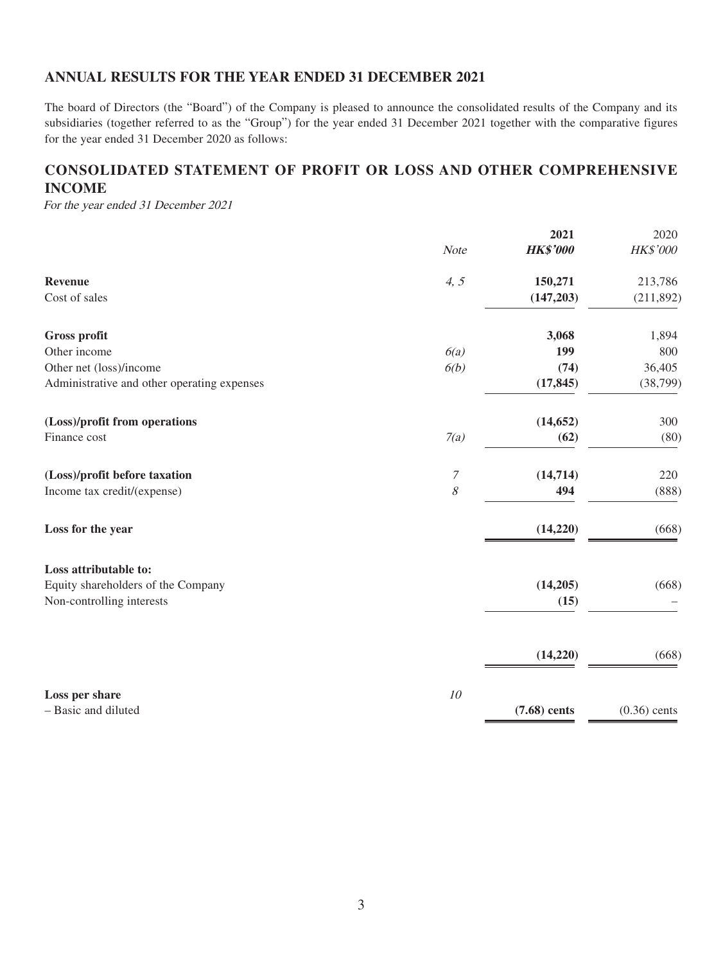### **ANNUAL RESULTS FOR THE YEAR ENDED 31 DECEMBER 2021**

The board of Directors (the "Board") of the Company is pleased to announce the consolidated results of the Company and its subsidiaries (together referred to as the "Group") for the year ended 31 December 2021 together with the comparative figures for the year ended 31 December 2020 as follows:

# **CONSOLIDATED STATEMENT OF PROFIT OR LOSS AND OTHER COMPREHENSIVE INCOME**

For the year ended 31 December 2021

|                                             |                  | 2021            | 2020           |
|---------------------------------------------|------------------|-----------------|----------------|
|                                             | Note             | <b>HK\$'000</b> | HK\$'000       |
| <b>Revenue</b>                              | 4, 5             | 150,271         | 213,786        |
| Cost of sales                               |                  | (147, 203)      | (211, 892)     |
| <b>Gross profit</b>                         |                  | 3,068           | 1,894          |
| Other income                                | 6(a)             | 199             | 800            |
| Other net (loss)/income                     | 6(b)             | (74)            | 36,405         |
| Administrative and other operating expenses |                  | (17, 845)       | (38, 799)      |
| (Loss)/profit from operations               |                  | (14, 652)       | 300            |
| Finance cost                                | 7(a)             | (62)            | (80)           |
| (Loss)/profit before taxation               | $\boldsymbol{7}$ | (14, 714)       | 220            |
| Income tax credit/(expense)                 | $\mathcal S$     | 494             | (888)          |
| Loss for the year                           |                  | (14,220)        | (668)          |
| Loss attributable to:                       |                  |                 |                |
| Equity shareholders of the Company          |                  | (14,205)        | (668)          |
| Non-controlling interests                   |                  | (15)            |                |
|                                             |                  |                 |                |
|                                             |                  | (14,220)        | (668)          |
| Loss per share                              | 10               |                 |                |
| - Basic and diluted                         |                  | $(7.68)$ cents  | $(0.36)$ cents |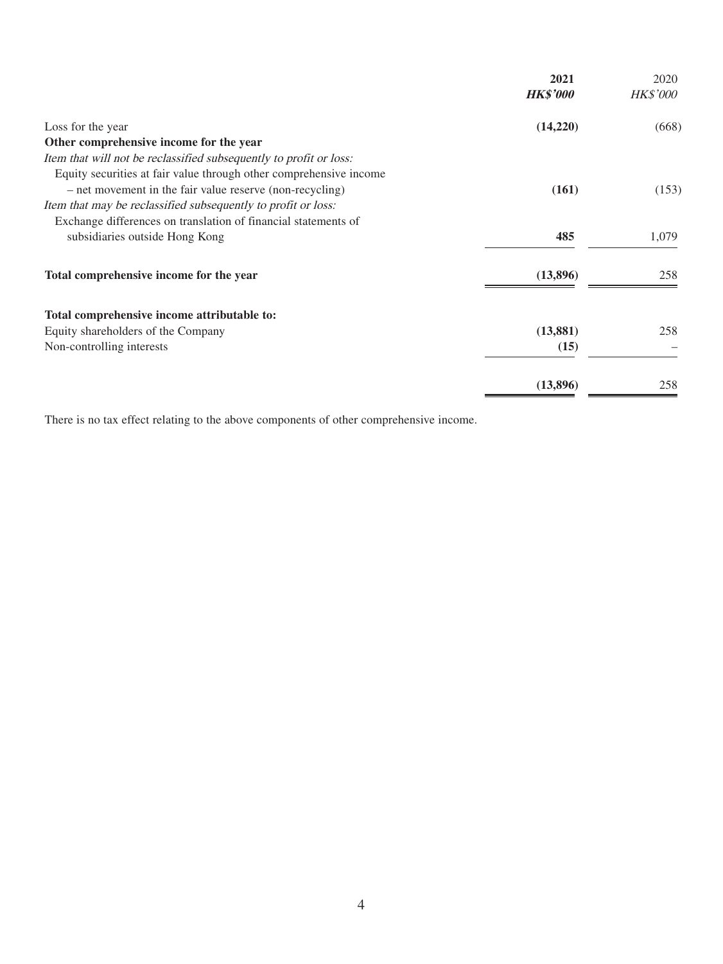|                                                                    | 2021<br><b>HK\$'000</b> | 2020<br><b>HK\$'000</b> |
|--------------------------------------------------------------------|-------------------------|-------------------------|
| Loss for the year                                                  | (14,220)                | (668)                   |
| Other comprehensive income for the year                            |                         |                         |
| Item that will not be reclassified subsequently to profit or loss: |                         |                         |
| Equity securities at fair value through other comprehensive income |                         |                         |
| - net movement in the fair value reserve (non-recycling)           | (161)                   | (153)                   |
| Item that may be reclassified subsequently to profit or loss:      |                         |                         |
| Exchange differences on translation of financial statements of     |                         |                         |
| subsidiaries outside Hong Kong                                     | 485                     | 1,079                   |
| Total comprehensive income for the year                            | (13,896)                | 258                     |
| Total comprehensive income attributable to:                        |                         |                         |
| Equity shareholders of the Company                                 | (13, 881)               | 258                     |
| Non-controlling interests                                          | (15)                    |                         |
|                                                                    | (13,896)                | 258                     |
|                                                                    |                         |                         |

There is no tax effect relating to the above components of other comprehensive income.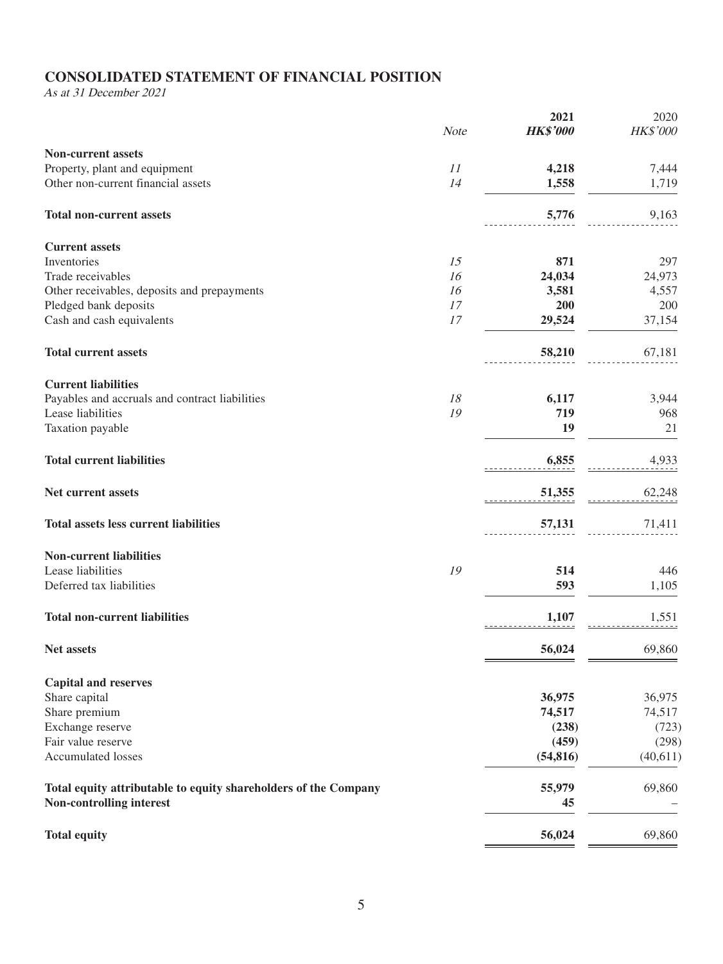# **CONSOLIDATED STATEMENT OF FINANCIAL POSITION**

As at 31 December 2021

|                                                                 | Note | 2021<br><b>HK\$'000</b> | 2020<br>HK\$'000 |
|-----------------------------------------------------------------|------|-------------------------|------------------|
| <b>Non-current assets</b>                                       |      |                         |                  |
| Property, plant and equipment                                   | 11   | 4,218                   | 7,444            |
| Other non-current financial assets                              | 14   | 1,558                   | 1,719            |
| <b>Total non-current assets</b>                                 |      | 5,776                   | 9,163            |
| <b>Current assets</b>                                           |      |                         |                  |
| Inventories                                                     | 15   | 871                     | 297              |
| Trade receivables                                               | 16   | 24,034                  | 24,973           |
| Other receivables, deposits and prepayments                     | 16   | 3,581                   | 4,557            |
| Pledged bank deposits                                           | 17   | 200                     | 200              |
| Cash and cash equivalents                                       | 17   | 29,524                  | 37,154           |
| <b>Total current assets</b>                                     |      | 58,210                  | 67,181           |
| <b>Current liabilities</b>                                      |      |                         |                  |
| Payables and accruals and contract liabilities                  | 18   | 6,117                   | 3,944            |
| Lease liabilities                                               | 19   | 719                     | 968              |
| Taxation payable                                                |      | 19                      | 21               |
| <b>Total current liabilities</b>                                |      | 6,855                   | 4,933            |
| Net current assets                                              |      | 51,355                  | 62,248           |
| <b>Total assets less current liabilities</b>                    |      | 57,131                  | 71,411           |
| <b>Non-current liabilities</b>                                  |      |                         |                  |
| Lease liabilities                                               | 19   | 514                     | 446              |
| Deferred tax liabilities                                        |      | 593                     | 1,105            |
| <b>Total non-current liabilities</b>                            |      | 1,107                   | 1,551            |
| <b>Net assets</b>                                               |      | 56,024                  | 69,860           |
| <b>Capital and reserves</b>                                     |      |                         |                  |
| Share capital                                                   |      | 36,975                  | 36,975           |
| Share premium                                                   |      | 74,517                  | 74,517           |
| Exchange reserve                                                |      | (238)                   | (723)            |
| Fair value reserve                                              |      | (459)                   | (298)            |
| Accumulated losses                                              |      | (54, 816)               | (40,611)         |
| Total equity attributable to equity shareholders of the Company |      | 55,979                  | 69,860           |
| Non-controlling interest                                        |      | 45                      |                  |
| <b>Total equity</b>                                             |      | 56,024                  | 69,860           |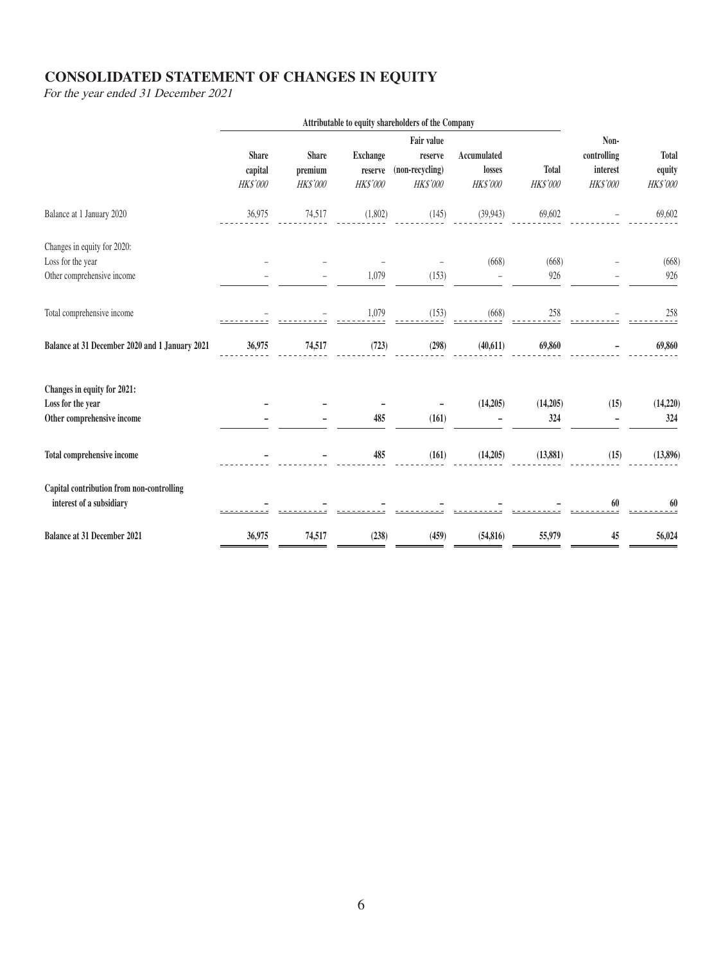# **CONSOLIDATED STATEMENT OF CHANGES IN EQUITY**

For the year ended 31 December 2021

|                                                                                | Attributable to equity shareholders of the Company |                                            |                                               |                                                             |                                          |                          |                                             |                                           |
|--------------------------------------------------------------------------------|----------------------------------------------------|--------------------------------------------|-----------------------------------------------|-------------------------------------------------------------|------------------------------------------|--------------------------|---------------------------------------------|-------------------------------------------|
|                                                                                | <b>Share</b><br>capital<br><b>HK\$'000</b>         | <b>Share</b><br>premium<br><b>HK\$'000</b> | <b>Exchange</b><br>reserve<br><b>HK\$'000</b> | Fair value<br>reserve<br>(non-recycling)<br><b>HK\$'000</b> | <b>Accumulated</b><br>losses<br>HK\$'000 | <b>Total</b><br>HK\$'000 | Non-<br>controlling<br>interest<br>HK\$'000 | <b>Total</b><br>equity<br><b>HK\$'000</b> |
| Balance at 1 January 2020                                                      | 36,975                                             | 74,517                                     | (1,802)                                       | (145)                                                       | (39, 943)                                | 69,602                   | $\equiv$                                    | 69,602                                    |
| Changes in equity for 2020:<br>Loss for the year<br>Other comprehensive income |                                                    |                                            | 1,079                                         | (153)                                                       | (668)                                    | (668)<br>926             |                                             | (668)<br>926                              |
| Total comprehensive income                                                     |                                                    |                                            | 1,079                                         | (153)                                                       | (668)                                    | 258                      |                                             | 258                                       |
| Balance at 31 December 2020 and 1 January 2021                                 | 36,975                                             | 74,517                                     | (723)                                         | (298)                                                       | (40,611)                                 | 69,860                   |                                             | 69,860                                    |
| Changes in equity for 2021:<br>Loss for the year<br>Other comprehensive income |                                                    |                                            | 485                                           | (161)                                                       | (14,205)                                 | (14,205)<br>324          | (15)                                        | (14,220)<br>324                           |
| Total comprehensive income                                                     |                                                    |                                            | 485                                           | (161)                                                       | (14,205)                                 | (13,881)                 | (15)                                        | (13,896)                                  |
| Capital contribution from non-controlling<br>interest of a subsidiary          |                                                    |                                            |                                               |                                                             |                                          |                          | 60                                          | 60                                        |
| <b>Balance at 31 December 2021</b>                                             | 36,975                                             | 74,517                                     | (238)                                         | (459)                                                       | (54, 816)                                | 55,979                   | 45                                          | 56,024                                    |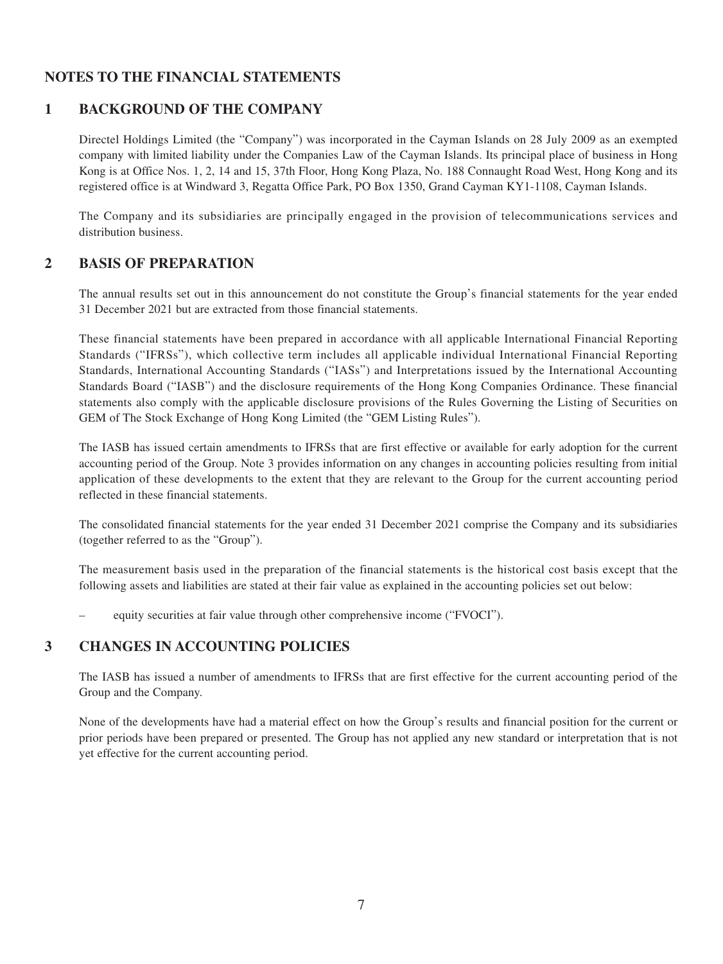# **NOTES TO THE FINANCIAL STATEMENTS**

# **1 BACKGROUND OF THE COMPANY**

Directel Holdings Limited (the "Company") was incorporated in the Cayman Islands on 28 July 2009 as an exempted company with limited liability under the Companies Law of the Cayman Islands. Its principal place of business in Hong Kong is at Office Nos. 1, 2, 14 and 15, 37th Floor, Hong Kong Plaza, No. 188 Connaught Road West, Hong Kong and its registered office is at Windward 3, Regatta Office Park, PO Box 1350, Grand Cayman KY1-1108, Cayman Islands.

The Company and its subsidiaries are principally engaged in the provision of telecommunications services and distribution business.

### **2 BASIS OF PREPARATION**

The annual results set out in this announcement do not constitute the Group's financial statements for the year ended 31 December 2021 but are extracted from those financial statements.

These financial statements have been prepared in accordance with all applicable International Financial Reporting Standards ("IFRSs"), which collective term includes all applicable individual International Financial Reporting Standards, International Accounting Standards ("IASs") and Interpretations issued by the International Accounting Standards Board ("IASB") and the disclosure requirements of the Hong Kong Companies Ordinance. These financial statements also comply with the applicable disclosure provisions of the Rules Governing the Listing of Securities on GEM of The Stock Exchange of Hong Kong Limited (the "GEM Listing Rules").

The IASB has issued certain amendments to IFRSs that are first effective or available for early adoption for the current accounting period of the Group. Note 3 provides information on any changes in accounting policies resulting from initial application of these developments to the extent that they are relevant to the Group for the current accounting period reflected in these financial statements.

The consolidated financial statements for the year ended 31 December 2021 comprise the Company and its subsidiaries (together referred to as the "Group").

The measurement basis used in the preparation of the financial statements is the historical cost basis except that the following assets and liabilities are stated at their fair value as explained in the accounting policies set out below:

– equity securities at fair value through other comprehensive income ("FVOCI").

### **3 CHANGES IN ACCOUNTING POLICIES**

The IASB has issued a number of amendments to IFRSs that are first effective for the current accounting period of the Group and the Company.

None of the developments have had a material effect on how the Group's results and financial position for the current or prior periods have been prepared or presented. The Group has not applied any new standard or interpretation that is not yet effective for the current accounting period.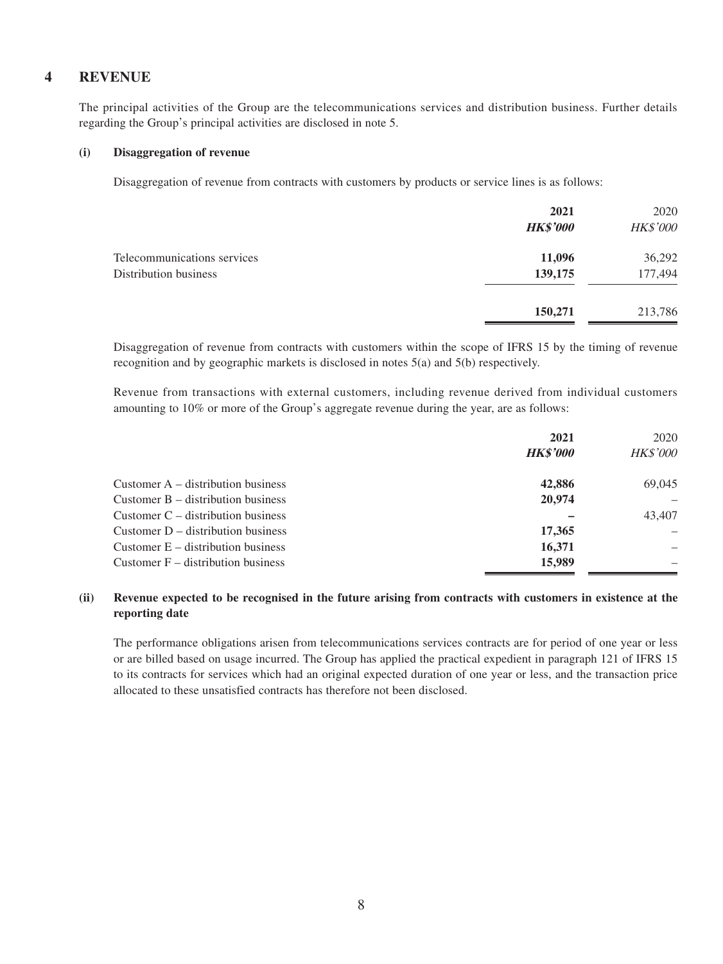### **4 REVENUE**

The principal activities of the Group are the telecommunications services and distribution business. Further details regarding the Group's principal activities are disclosed in note 5.

#### **(i) Disaggregation of revenue**

Disaggregation of revenue from contracts with customers by products or service lines is as follows:

|                             | 2021<br><b>HK\$'000</b> | 2020<br>HK\$'000 |
|-----------------------------|-------------------------|------------------|
| Telecommunications services | 11,096                  | 36,292           |
| Distribution business       | 139,175                 | 177,494          |
|                             | 150,271                 | 213,786          |
|                             |                         |                  |

Disaggregation of revenue from contracts with customers within the scope of IFRS 15 by the timing of revenue recognition and by geographic markets is disclosed in notes 5(a) and 5(b) respectively.

Revenue from transactions with external customers, including revenue derived from individual customers amounting to 10% or more of the Group's aggregate revenue during the year, are as follows:

|                                      | 2021<br><b>HK\$'000</b> | 2020<br><b>HK\$'000</b> |
|--------------------------------------|-------------------------|-------------------------|
| Customer $A -$ distribution business | 42,886                  | 69,045                  |
| Customer $B -$ distribution business | 20,974                  |                         |
| Customer $C -$ distribution business |                         | 43,407                  |
| Customer $D -$ distribution business | 17,365                  |                         |
| Customer $E -$ distribution business | 16,371                  |                         |
| Customer $F -$ distribution business | 15,989                  |                         |

#### **(ii) Revenue expected to be recognised in the future arising from contracts with customers in existence at the reporting date**

The performance obligations arisen from telecommunications services contracts are for period of one year or less or are billed based on usage incurred. The Group has applied the practical expedient in paragraph 121 of IFRS 15 to its contracts for services which had an original expected duration of one year or less, and the transaction price allocated to these unsatisfied contracts has therefore not been disclosed.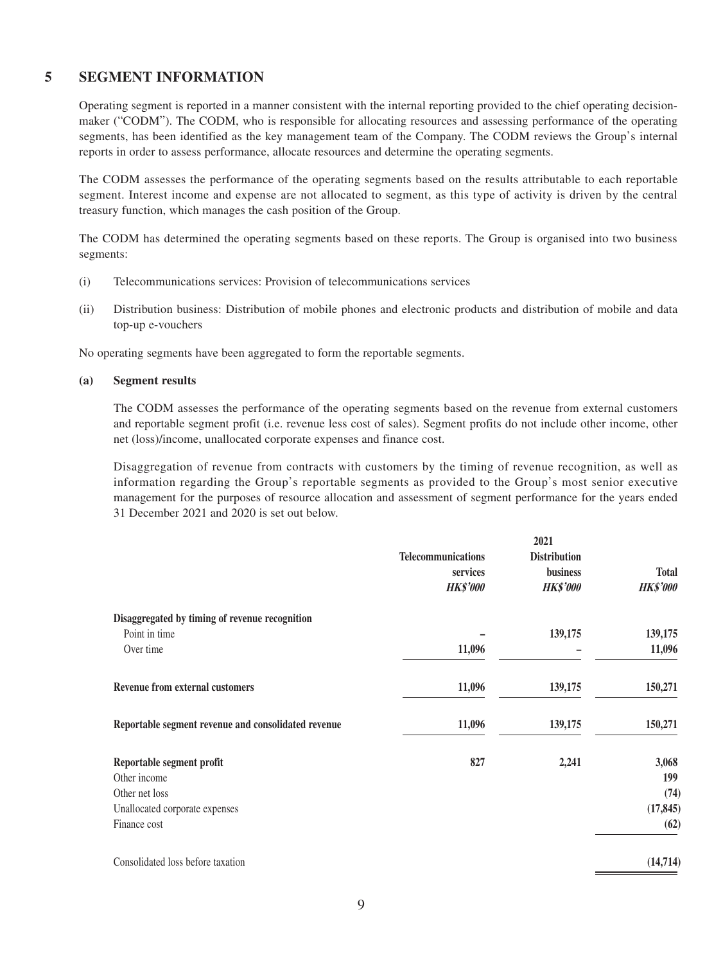### **5 SEGMENT INFORMATION**

Operating segment is reported in a manner consistent with the internal reporting provided to the chief operating decisionmaker ("CODM"). The CODM, who is responsible for allocating resources and assessing performance of the operating segments, has been identified as the key management team of the Company. The CODM reviews the Group's internal reports in order to assess performance, allocate resources and determine the operating segments.

The CODM assesses the performance of the operating segments based on the results attributable to each reportable segment. Interest income and expense are not allocated to segment, as this type of activity is driven by the central treasury function, which manages the cash position of the Group.

The CODM has determined the operating segments based on these reports. The Group is organised into two business segments:

- (i) Telecommunications services: Provision of telecommunications services
- (ii) Distribution business: Distribution of mobile phones and electronic products and distribution of mobile and data top-up e-vouchers

No operating segments have been aggregated to form the reportable segments.

#### **(a) Segment results**

The CODM assesses the performance of the operating segments based on the revenue from external customers and reportable segment profit (i.e. revenue less cost of sales). Segment profits do not include other income, other net (loss)/income, unallocated corporate expenses and finance cost.

Disaggregation of revenue from contracts with customers by the timing of revenue recognition, as well as information regarding the Group's reportable segments as provided to the Group's most senior executive management for the purposes of resource allocation and assessment of segment performance for the years ended 31 December 2021 and 2020 is set out below.

|                           | 2021                |                 |
|---------------------------|---------------------|-----------------|
| <b>Telecommunications</b> | <b>Distribution</b> |                 |
| services                  | business            | <b>Total</b>    |
| <b>HK\$'000</b>           | <b>HK\$'000</b>     | <b>HK\$'000</b> |
|                           |                     |                 |
|                           | 139,175             | 139,175         |
| 11,096                    |                     | 11,096          |
| 11,096                    | 139,175             | 150,271         |
| 11,096                    | 139,175             | 150,271         |
| 827                       | 2,241               | 3,068           |
|                           |                     | 199             |
|                           |                     | (74)            |
|                           |                     | (17, 845)       |
|                           |                     | (62)            |
|                           |                     | (14, 714)       |
|                           |                     |                 |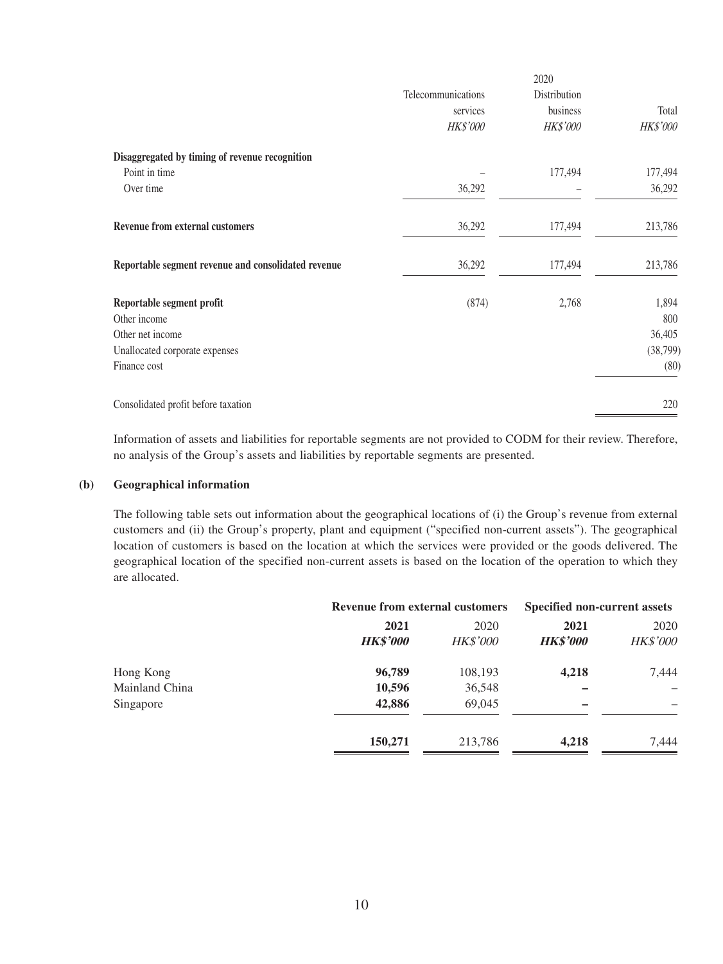|                                                     | Telecommunications | Distribution    |           |
|-----------------------------------------------------|--------------------|-----------------|-----------|
|                                                     | services           | business        | Total     |
|                                                     | <b>HK\$'000</b>    | <b>HK\$'000</b> | HK\$'000  |
| Disaggregated by timing of revenue recognition      |                    |                 |           |
| Point in time                                       |                    | 177,494         | 177,494   |
| Over time                                           | 36,292             |                 | 36,292    |
| <b>Revenue from external customers</b>              | 36,292             | 177,494         | 213,786   |
| Reportable segment revenue and consolidated revenue | 36,292             | 177,494         | 213,786   |
| Reportable segment profit                           | (874)              | 2,768           | 1,894     |
| Other income                                        |                    |                 | 800       |
| Other net income                                    |                    |                 | 36,405    |
| Unallocated corporate expenses                      |                    |                 | (38, 799) |
| Finance cost                                        |                    |                 | (80)      |
| Consolidated profit before taxation                 |                    |                 | 220       |

Information of assets and liabilities for reportable segments are not provided to CODM for their review. Therefore, no analysis of the Group's assets and liabilities by reportable segments are presented.

#### **(b) Geographical information**

The following table sets out information about the geographical locations of (i) the Group's revenue from external customers and (ii) the Group's property, plant and equipment ("specified non-current assets"). The geographical location of customers is based on the location at which the services were provided or the goods delivered. The geographical location of the specified non-current assets is based on the location of the operation to which they are allocated.

|                | <b>Revenue from external customers</b> |                 | <b>Specified non-current assets</b> |          |
|----------------|----------------------------------------|-----------------|-------------------------------------|----------|
|                | 2021                                   | 2020            | 2021                                | 2020     |
|                | <b>HK\$'000</b>                        | <b>HK\$'000</b> | <b>HK\$'000</b>                     | HK\$'000 |
| Hong Kong      | 96,789                                 | 108,193         | 4,218                               | 7,444    |
| Mainland China | 10,596                                 | 36,548          |                                     |          |
| Singapore      | 42,886                                 | 69,045          |                                     |          |
|                | 150,271                                | 213,786         | 4,218                               | 7,444    |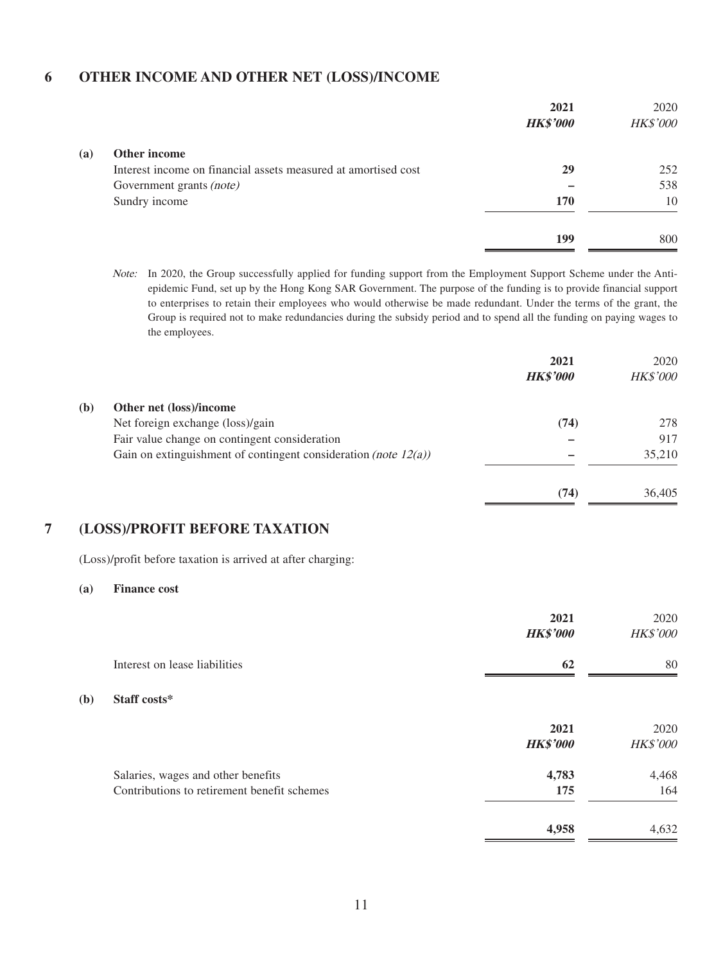### **6 OTHER INCOME AND OTHER NET (LOSS)/INCOME**

|     |                                                                | 2021<br><b>HK\$'000</b> | 2020<br>HK\$'000 |
|-----|----------------------------------------------------------------|-------------------------|------------------|
| (a) | Other income                                                   |                         |                  |
|     | Interest income on financial assets measured at amortised cost | 29                      | 252              |
|     | Government grants (note)                                       |                         | 538              |
|     | Sundry income                                                  | 170                     | 10               |
|     |                                                                | 199                     | 800              |

Note: In 2020, the Group successfully applied for funding support from the Employment Support Scheme under the Antiepidemic Fund, set up by the Hong Kong SAR Government. The purpose of the funding is to provide financial support to enterprises to retain their employees who would otherwise be made redundant. Under the terms of the grant, the Group is required not to make redundancies during the subsidy period and to spend all the funding on paying wages to the employees.

|     |                                                                    | 2021<br><b>HK\$'000</b> | 2020<br>HK\$'000 |
|-----|--------------------------------------------------------------------|-------------------------|------------------|
| (b) | Other net (loss)/income                                            |                         |                  |
|     | Net foreign exchange (loss)/gain                                   | (74)                    | 278              |
|     | Fair value change on contingent consideration                      |                         | 917              |
|     | Gain on extinguishment of contingent consideration (note $12(a)$ ) |                         | 35,210           |
|     |                                                                    | (74)                    | 36,405           |

### **7 (LOSS)/PROFIT BEFORE TAXATION**

(Loss)/profit before taxation is arrived at after charging:

#### **(a) Finance cost**

**(b)** 

|                                                                                   | 2021<br><b>HK\$'000</b> | 2020<br><b>HK\$'000</b> |
|-----------------------------------------------------------------------------------|-------------------------|-------------------------|
| Interest on lease liabilities                                                     | 62                      | 80                      |
| Staff costs*                                                                      |                         |                         |
|                                                                                   | 2021<br><b>HK\$'000</b> | 2020<br><b>HK\$'000</b> |
| Salaries, wages and other benefits<br>Contributions to retirement benefit schemes | 4,783<br>175            | 4,468<br>164            |
|                                                                                   | 4,958                   | 4,632                   |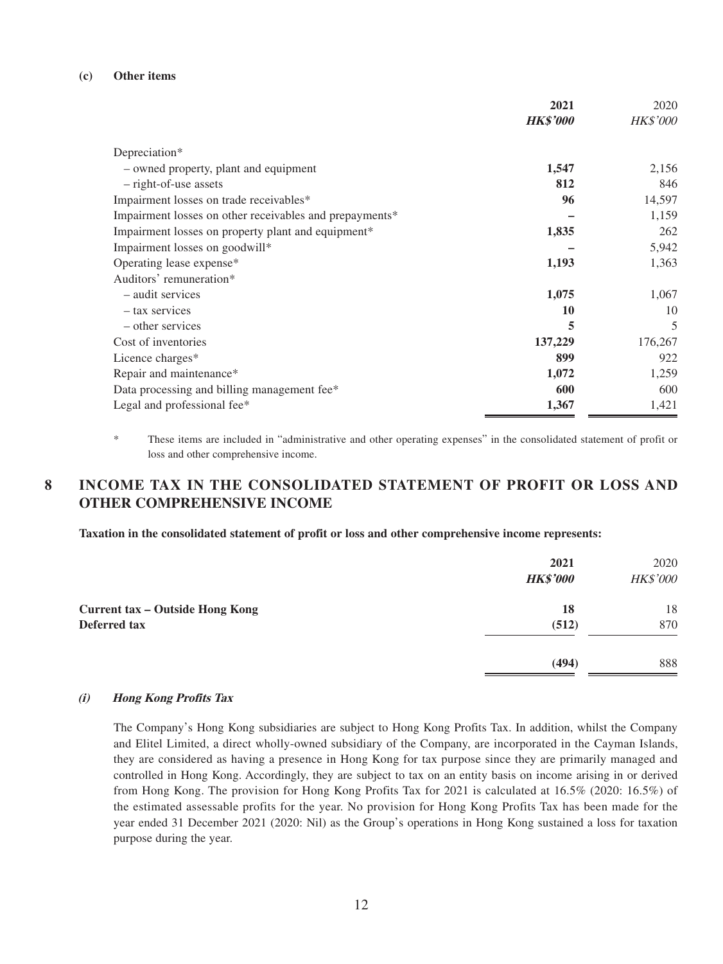#### **(c) Other items**

|                                                         | 2021            | 2020            |
|---------------------------------------------------------|-----------------|-----------------|
|                                                         | <b>HK\$'000</b> | <b>HK\$'000</b> |
| Depreciation*                                           |                 |                 |
| - owned property, plant and equipment                   | 1,547           | 2,156           |
| - right-of-use assets                                   | 812             | 846             |
| Impairment losses on trade receivables*                 | 96              | 14,597          |
| Impairment losses on other receivables and prepayments* |                 | 1,159           |
| Impairment losses on property plant and equipment*      | 1,835           | 262             |
| Impairment losses on goodwill*                          |                 | 5,942           |
| Operating lease expense*                                | 1,193           | 1,363           |
| Auditors' remuneration*                                 |                 |                 |
| - audit services                                        | 1,075           | 1,067           |
| - tax services                                          | 10              | 10              |
| - other services                                        | 5               | 5               |
| Cost of inventories                                     | 137,229         | 176,267         |
| Licence charges*                                        | 899             | 922             |
| Repair and maintenance*                                 | 1,072           | 1,259           |
| Data processing and billing management fee*             | 600             | 600             |
| Legal and professional fee*                             | 1,367           | 1,421           |

These items are included in "administrative and other operating expenses" in the consolidated statement of profit or loss and other comprehensive income.

# **8 INCOME TAX IN THE CONSOLIDATED STATEMENT OF PROFIT OR LOSS AND OTHER COMPREHENSIVE INCOME**

**Taxation in the consolidated statement of profit or loss and other comprehensive income represents:**

|                                 | 2021<br><b>HK\$'000</b> | 2020<br>HK\$'000 |
|---------------------------------|-------------------------|------------------|
| Current tax - Outside Hong Kong | 18                      | 18               |
| Deferred tax                    | (512)                   | 870              |
|                                 | (494)                   | 888              |

#### **(i) Hong Kong Profits Tax**

The Company's Hong Kong subsidiaries are subject to Hong Kong Profits Tax. In addition, whilst the Company and Elitel Limited, a direct wholly-owned subsidiary of the Company, are incorporated in the Cayman Islands, they are considered as having a presence in Hong Kong for tax purpose since they are primarily managed and controlled in Hong Kong. Accordingly, they are subject to tax on an entity basis on income arising in or derived from Hong Kong. The provision for Hong Kong Profits Tax for 2021 is calculated at 16.5% (2020: 16.5%) of the estimated assessable profits for the year. No provision for Hong Kong Profits Tax has been made for the year ended 31 December 2021 (2020: Nil) as the Group's operations in Hong Kong sustained a loss for taxation purpose during the year.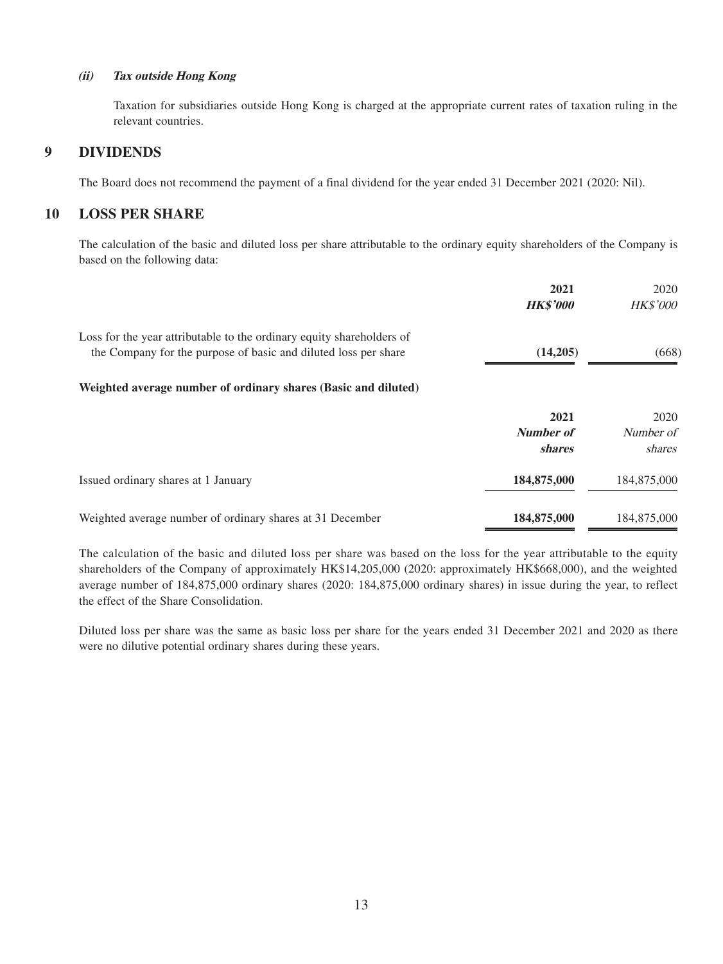#### **(ii) Tax outside Hong Kong**

Taxation for subsidiaries outside Hong Kong is charged at the appropriate current rates of taxation ruling in the relevant countries.

### **9 DIVIDENDS**

The Board does not recommend the payment of a final dividend for the year ended 31 December 2021 (2020: Nil).

### **10 LOSS PER SHARE**

The calculation of the basic and diluted loss per share attributable to the ordinary equity shareholders of the Company is based on the following data:

|                                                                       | 2021             | 2020            |
|-----------------------------------------------------------------------|------------------|-----------------|
|                                                                       | <b>HK\$'000</b>  | <b>HK\$'000</b> |
| Loss for the year attributable to the ordinary equity shareholders of |                  |                 |
| the Company for the purpose of basic and diluted loss per share       | (14,205)         | (668)           |
| Weighted average number of ordinary shares (Basic and diluted)        |                  |                 |
|                                                                       | 2021             | 2020            |
|                                                                       | <b>Number of</b> | Number of       |
|                                                                       | <i>shares</i>    | shares          |
| Issued ordinary shares at 1 January                                   | 184,875,000      | 184,875,000     |
| Weighted average number of ordinary shares at 31 December             | 184,875,000      | 184,875,000     |

The calculation of the basic and diluted loss per share was based on the loss for the year attributable to the equity shareholders of the Company of approximately HK\$14,205,000 (2020: approximately HK\$668,000), and the weighted average number of 184,875,000 ordinary shares (2020: 184,875,000 ordinary shares) in issue during the year, to reflect the effect of the Share Consolidation.

Diluted loss per share was the same as basic loss per share for the years ended 31 December 2021 and 2020 as there were no dilutive potential ordinary shares during these years.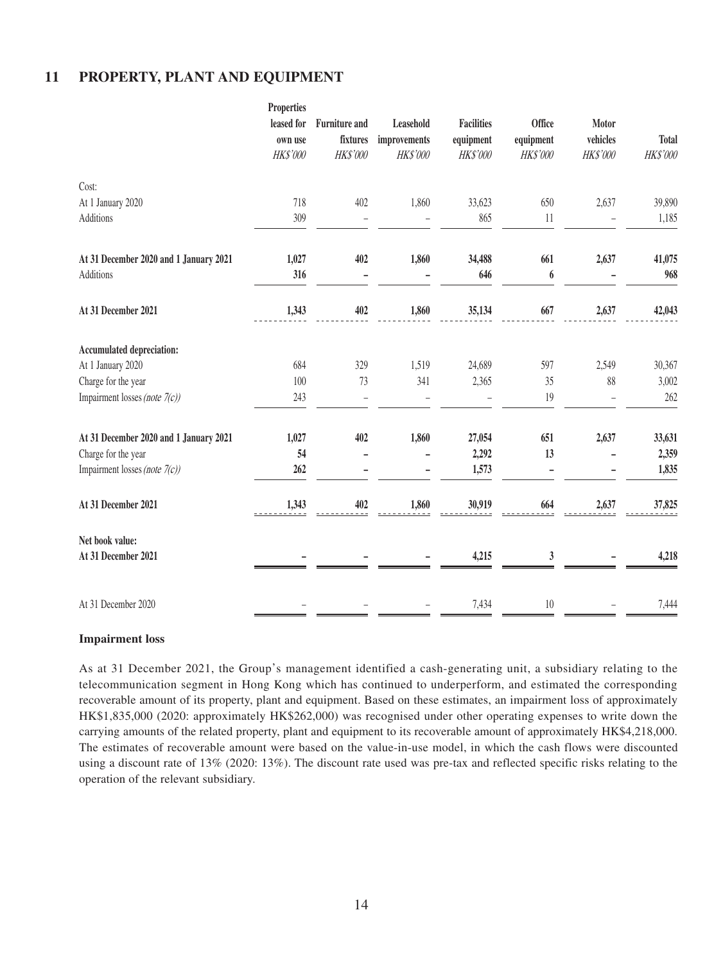### **11 PROPERTY, PLANT AND EQUIPMENT**

|                                        | <b>Properties</b><br>leased for<br>own use<br>HK\$'000 | <b>Furniture and</b><br>fixtures<br>HK\$'000 | Leasehold<br>improvements<br><b>HK\$'000</b> | <b>Facilities</b><br>equipment<br>HK\$'000 | Office<br>equipment<br>HK\$'000 | Motor<br>vehicles<br>HK\$'000 | <b>Total</b><br>HK\$'000 |
|----------------------------------------|--------------------------------------------------------|----------------------------------------------|----------------------------------------------|--------------------------------------------|---------------------------------|-------------------------------|--------------------------|
| Cost:                                  |                                                        |                                              |                                              |                                            |                                 |                               |                          |
| At 1 January 2020                      | 718                                                    | 402                                          | 1,860                                        | 33,623                                     | 650                             | 2,637                         | 39,890                   |
| Additions                              | 309                                                    |                                              |                                              | 865                                        | 11                              |                               | 1,185                    |
| At 31 December 2020 and 1 January 2021 | 1,027                                                  | 402                                          | 1,860                                        | 34,488                                     | 661                             | 2,637                         | 41,075                   |
| Additions                              | 316                                                    |                                              |                                              | 646                                        | $\boldsymbol{6}$                |                               | 968                      |
| At 31 December 2021                    | 1,343                                                  | 402                                          | 1,860                                        | 35,134                                     | 667                             | 2,637                         | 42,043                   |
| Accumulated depreciation:              |                                                        |                                              |                                              |                                            |                                 |                               |                          |
| At 1 January 2020                      | 684                                                    | 329                                          | 1,519                                        | 24,689                                     | 597                             | 2,549                         | 30,367                   |
| Charge for the year                    | 100                                                    | 73                                           | 341                                          | 2,365                                      | 35                              | 88                            | 3,002                    |
| Impairment losses (note 7(c))          | 243                                                    |                                              |                                              |                                            | 19                              |                               | 262                      |
| At 31 December 2020 and 1 January 2021 | 1,027                                                  | 402                                          | 1,860                                        | 27,054                                     | 651                             | 2,637                         | 33,631                   |
| Charge for the year                    | 54                                                     |                                              |                                              | 2,292                                      | 13                              | $\overline{a}$                | 2,359                    |
| Impairment losses (note 7(c))          | 262                                                    |                                              |                                              | 1,573                                      |                                 |                               | 1,835                    |
| At 31 December 2021                    | 1,343                                                  | 402                                          | 1,860                                        | 30,919                                     | 664                             | 2,637                         | 37,825                   |
| Net book value:                        |                                                        |                                              |                                              |                                            |                                 |                               |                          |
| At 31 December 2021                    |                                                        |                                              |                                              | 4,215                                      | 3                               |                               | 4,218                    |
| At 31 December 2020                    |                                                        |                                              |                                              | 7,434                                      | $10\,$                          |                               | 7,444                    |

#### **Impairment loss**

As at 31 December 2021, the Group's management identified a cash-generating unit, a subsidiary relating to the telecommunication segment in Hong Kong which has continued to underperform, and estimated the corresponding recoverable amount of its property, plant and equipment. Based on these estimates, an impairment loss of approximately HK\$1,835,000 (2020: approximately HK\$262,000) was recognised under other operating expenses to write down the carrying amounts of the related property, plant and equipment to its recoverable amount of approximately HK\$4,218,000. The estimates of recoverable amount were based on the value-in-use model, in which the cash flows were discounted using a discount rate of 13% (2020: 13%). The discount rate used was pre-tax and reflected specific risks relating to the operation of the relevant subsidiary.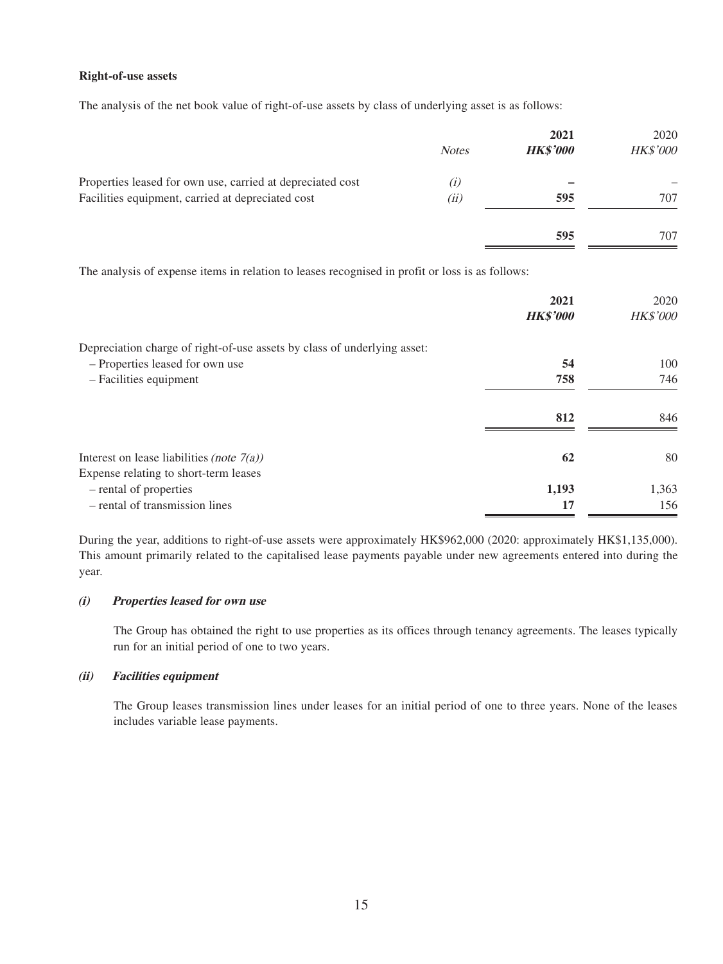#### **Right-of-use assets**

The analysis of the net book value of right-of-use assets by class of underlying asset is as follows:

| <b>Notes</b> | 2021<br><b>HK\$'000</b> | 2020<br>HK\$'000 |
|--------------|-------------------------|------------------|
| (i)          |                         |                  |
| (ii)         | 595                     | 707              |
|              | 595                     | 707              |
|              |                         |                  |

The analysis of expense items in relation to leases recognised in profit or loss is as follows:

|                                                                          | 2021<br><b>HK\$'000</b> | 2020<br>HK\$'000 |
|--------------------------------------------------------------------------|-------------------------|------------------|
| Depreciation charge of right-of-use assets by class of underlying asset: |                         |                  |
| - Properties leased for own use                                          | 54                      | 100              |
| - Facilities equipment                                                   | 758                     | 746              |
|                                                                          | 812                     | 846              |
| Interest on lease liabilities <i>(note</i> $7(a)$ )                      | 62                      | 80               |
| Expense relating to short-term leases                                    |                         |                  |
| - rental of properties                                                   | 1,193                   | 1,363            |
| - rental of transmission lines                                           | 17                      | 156              |

During the year, additions to right-of-use assets were approximately HK\$962,000 (2020: approximately HK\$1,135,000). This amount primarily related to the capitalised lease payments payable under new agreements entered into during the year.

#### **(i) Properties leased for own use**

The Group has obtained the right to use properties as its offices through tenancy agreements. The leases typically run for an initial period of one to two years.

#### **(ii) Facilities equipment**

The Group leases transmission lines under leases for an initial period of one to three years. None of the leases includes variable lease payments.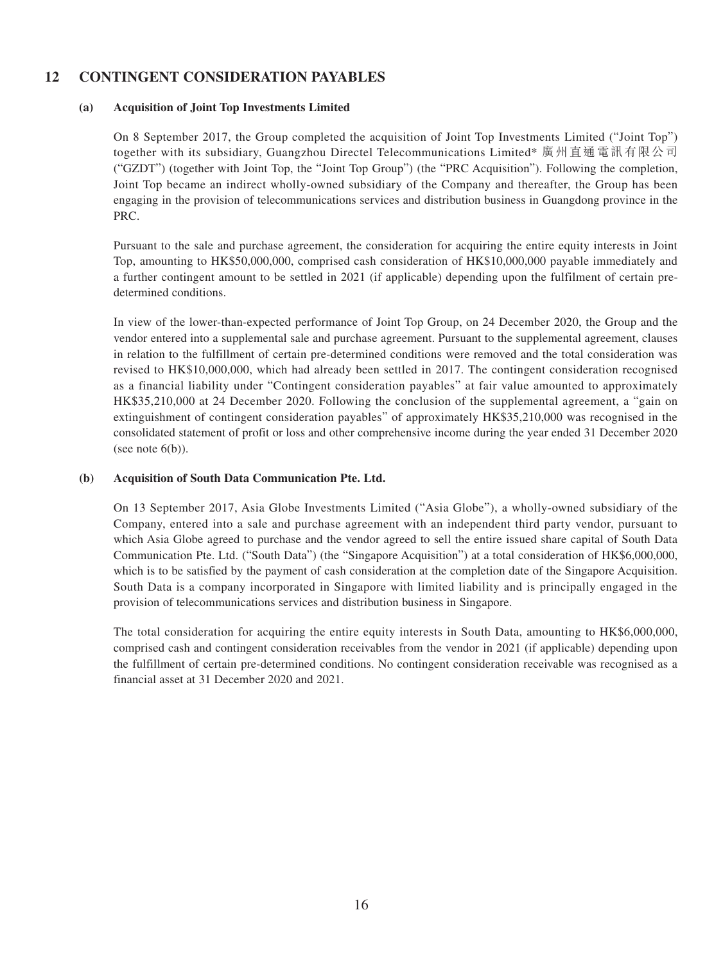### **12 CONTINGENT CONSIDERATION PAYABLES**

### **(a) Acquisition of Joint Top Investments Limited**

On 8 September 2017, the Group completed the acquisition of Joint Top Investments Limited ("Joint Top") together with its subsidiary, Guangzhou Directel Telecommunications Limited\* 廣州直通電訊有限公司 ("GZDT") (together with Joint Top, the "Joint Top Group") (the "PRC Acquisition"). Following the completion, Joint Top became an indirect wholly-owned subsidiary of the Company and thereafter, the Group has been engaging in the provision of telecommunications services and distribution business in Guangdong province in the PRC.

Pursuant to the sale and purchase agreement, the consideration for acquiring the entire equity interests in Joint Top, amounting to HK\$50,000,000, comprised cash consideration of HK\$10,000,000 payable immediately and a further contingent amount to be settled in 2021 (if applicable) depending upon the fulfilment of certain predetermined conditions.

In view of the lower-than-expected performance of Joint Top Group, on 24 December 2020, the Group and the vendor entered into a supplemental sale and purchase agreement. Pursuant to the supplemental agreement, clauses in relation to the fulfillment of certain pre-determined conditions were removed and the total consideration was revised to HK\$10,000,000, which had already been settled in 2017. The contingent consideration recognised as a financial liability under "Contingent consideration payables" at fair value amounted to approximately HK\$35,210,000 at 24 December 2020. Following the conclusion of the supplemental agreement, a "gain on extinguishment of contingent consideration payables" of approximately HK\$35,210,000 was recognised in the consolidated statement of profit or loss and other comprehensive income during the year ended 31 December 2020 (see note  $6(b)$ ).

### **(b) Acquisition of South Data Communication Pte. Ltd.**

On 13 September 2017, Asia Globe Investments Limited ("Asia Globe"), a wholly-owned subsidiary of the Company, entered into a sale and purchase agreement with an independent third party vendor, pursuant to which Asia Globe agreed to purchase and the vendor agreed to sell the entire issued share capital of South Data Communication Pte. Ltd. ("South Data") (the "Singapore Acquisition") at a total consideration of HK\$6,000,000, which is to be satisfied by the payment of cash consideration at the completion date of the Singapore Acquisition. South Data is a company incorporated in Singapore with limited liability and is principally engaged in the provision of telecommunications services and distribution business in Singapore.

The total consideration for acquiring the entire equity interests in South Data, amounting to HK\$6,000,000, comprised cash and contingent consideration receivables from the vendor in 2021 (if applicable) depending upon the fulfillment of certain pre-determined conditions. No contingent consideration receivable was recognised as a financial asset at 31 December 2020 and 2021.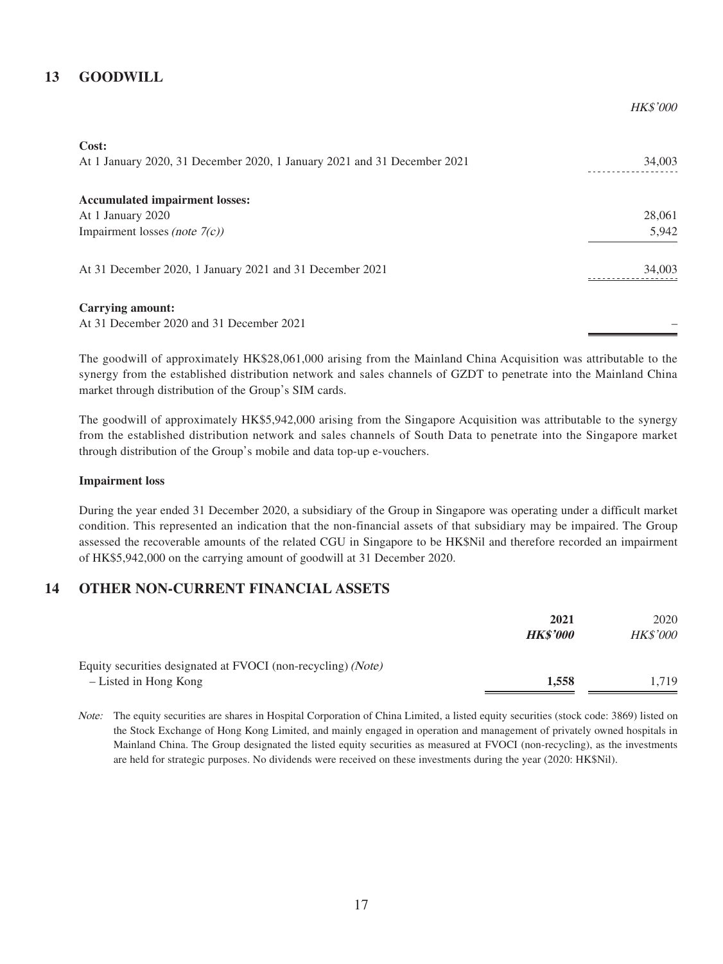### **13 GOODWILL**

| Cost:                                                                    |        |
|--------------------------------------------------------------------------|--------|
| At 1 January 2020, 31 December 2020, 1 January 2021 and 31 December 2021 | 34,003 |
|                                                                          |        |
| <b>Accumulated impairment losses:</b>                                    |        |
| At 1 January 2020                                                        | 28,061 |
| Impairment losses (note $7(c)$ )                                         | 5,942  |
|                                                                          |        |
| At 31 December 2020, 1 January 2021 and 31 December 2021                 | 34,003 |
|                                                                          |        |
| <b>Carrying amount:</b>                                                  |        |
| At 31 December 2020 and 31 December 2021                                 |        |
|                                                                          |        |

The goodwill of approximately HK\$28,061,000 arising from the Mainland China Acquisition was attributable to the synergy from the established distribution network and sales channels of GZDT to penetrate into the Mainland China market through distribution of the Group's SIM cards.

The goodwill of approximately HK\$5,942,000 arising from the Singapore Acquisition was attributable to the synergy from the established distribution network and sales channels of South Data to penetrate into the Singapore market through distribution of the Group's mobile and data top-up e-vouchers.

#### **Impairment loss**

During the year ended 31 December 2020, a subsidiary of the Group in Singapore was operating under a difficult market condition. This represented an indication that the non-financial assets of that subsidiary may be impaired. The Group assessed the recoverable amounts of the related CGU in Singapore to be HK\$Nil and therefore recorded an impairment of HK\$5,942,000 on the carrying amount of goodwill at 31 December 2020.

### **14 OTHER NON-CURRENT FINANCIAL ASSETS**

|                                                                                       | 2021<br><b>HK\$'000</b> | 2020<br><b>HK\$'000</b> |
|---------------------------------------------------------------------------------------|-------------------------|-------------------------|
| Equity securities designated at FVOCI (non-recycling) (Note)<br>- Listed in Hong Kong | 1.558                   | 1.719                   |

Note: The equity securities are shares in Hospital Corporation of China Limited, a listed equity securities (stock code: 3869) listed on the Stock Exchange of Hong Kong Limited, and mainly engaged in operation and management of privately owned hospitals in Mainland China. The Group designated the listed equity securities as measured at FVOCI (non-recycling), as the investments are held for strategic purposes. No dividends were received on these investments during the year (2020: HK\$Nil).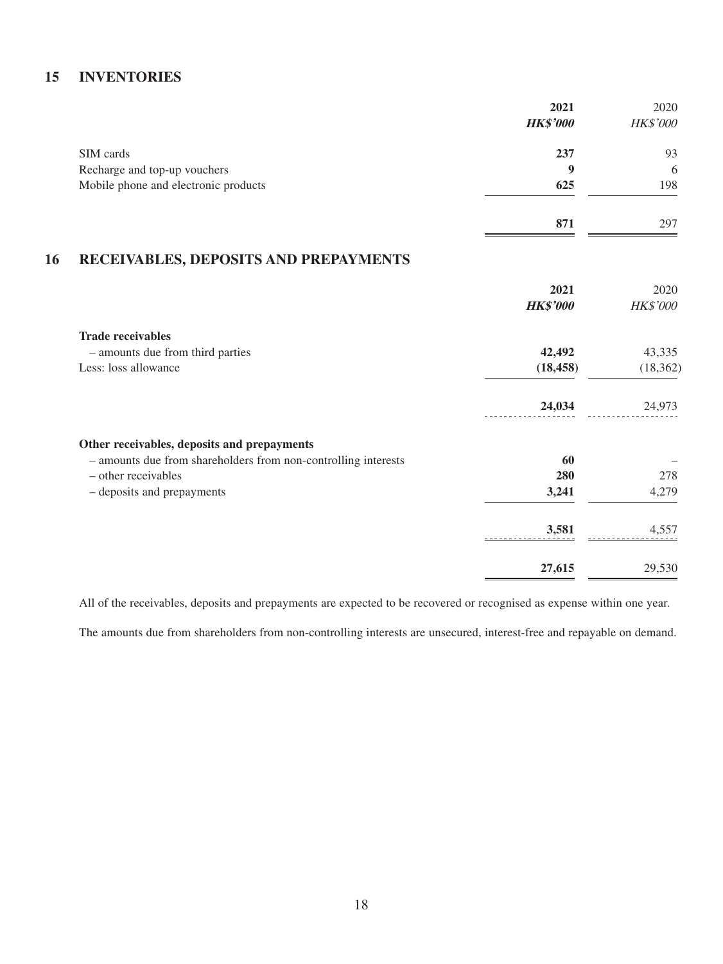### **15 INVENTORIES**

|                                      | 2021            | 2020     |
|--------------------------------------|-----------------|----------|
|                                      | <b>HK\$'000</b> | HK\$'000 |
| SIM cards                            | 237             | 93       |
| Recharge and top-up vouchers         | 9               | 6        |
| Mobile phone and electronic products | 625             | 198      |
|                                      | 871             | 297      |

## **16 RECEIVABLES, DEPOSITS AND PREPAYMENTS**

|                                                                | 2021<br><b>HK\$'000</b> | 2020<br><b>HK\$'000</b> |
|----------------------------------------------------------------|-------------------------|-------------------------|
| <b>Trade receivables</b>                                       |                         |                         |
| - amounts due from third parties                               | 42,492                  | 43,335                  |
| Less: loss allowance                                           | (18, 458)               | (18, 362)               |
|                                                                | 24,034                  | 24,973                  |
| Other receivables, deposits and prepayments                    |                         |                         |
| - amounts due from shareholders from non-controlling interests | 60                      |                         |
| - other receivables                                            | 280                     | 278                     |
| - deposits and prepayments                                     | 3,241                   | 4,279                   |
|                                                                | 3,581                   | 4,557                   |
|                                                                | 27,615                  | 29,530                  |

All of the receivables, deposits and prepayments are expected to be recovered or recognised as expense within one year.

The amounts due from shareholders from non-controlling interests are unsecured, interest-free and repayable on demand.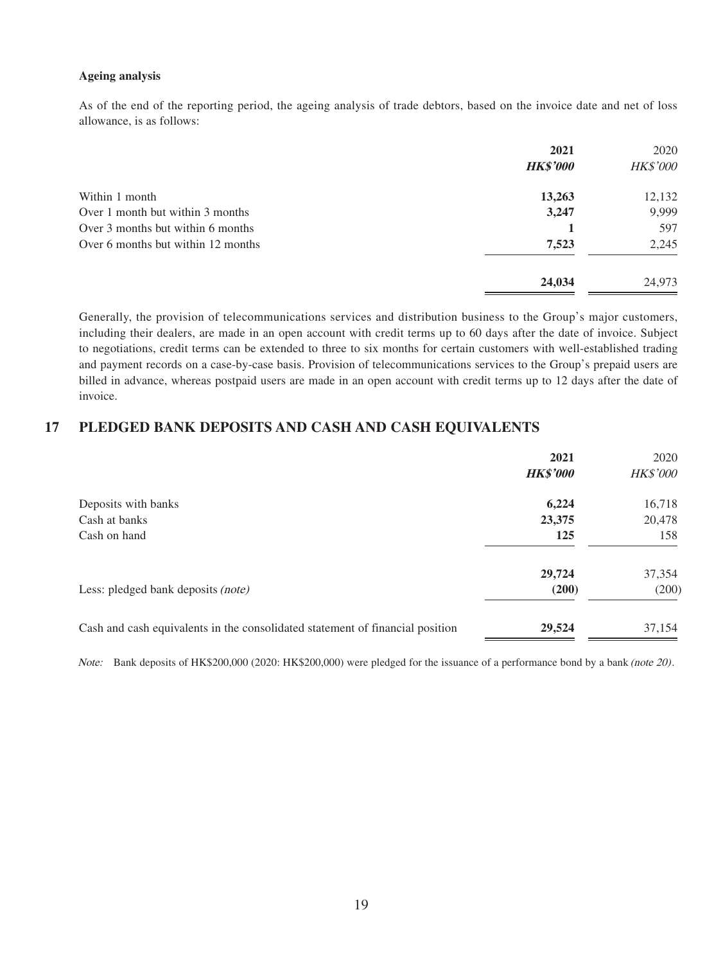#### **Ageing analysis**

As of the end of the reporting period, the ageing analysis of trade debtors, based on the invoice date and net of loss allowance, is as follows:

|                                    | 2021<br><b>HK\$'000</b> | 2020<br>HK\$'000 |
|------------------------------------|-------------------------|------------------|
| Within 1 month                     | 13,263                  | 12,132           |
| Over 1 month but within 3 months   | 3,247                   | 9,999            |
| Over 3 months but within 6 months  |                         | 597              |
| Over 6 months but within 12 months | 7,523                   | 2,245            |
|                                    | 24,034                  | 24,973           |

Generally, the provision of telecommunications services and distribution business to the Group's major customers, including their dealers, are made in an open account with credit terms up to 60 days after the date of invoice. Subject to negotiations, credit terms can be extended to three to six months for certain customers with well-established trading and payment records on a case-by-case basis. Provision of telecommunications services to the Group's prepaid users are billed in advance, whereas postpaid users are made in an open account with credit terms up to 12 days after the date of invoice.

### **17 PLEDGED BANK DEPOSITS AND CASH AND CASH EQUIVALENTS**

|                                                                               | 2021<br><b>HK\$'000</b> | 2020<br><b>HK\$'000</b> |
|-------------------------------------------------------------------------------|-------------------------|-------------------------|
| Deposits with banks                                                           | 6,224                   | 16,718                  |
| Cash at banks                                                                 | 23,375                  | 20,478                  |
| Cash on hand                                                                  | 125                     | 158                     |
|                                                                               | 29,724                  | 37,354                  |
| Less: pledged bank deposits (note)                                            | (200)                   | (200)                   |
| Cash and cash equivalents in the consolidated statement of financial position | 29,524                  | 37,154                  |

Note: Bank deposits of HK\$200,000 (2020: HK\$200,000) were pledged for the issuance of a performance bond by a bank (note 20).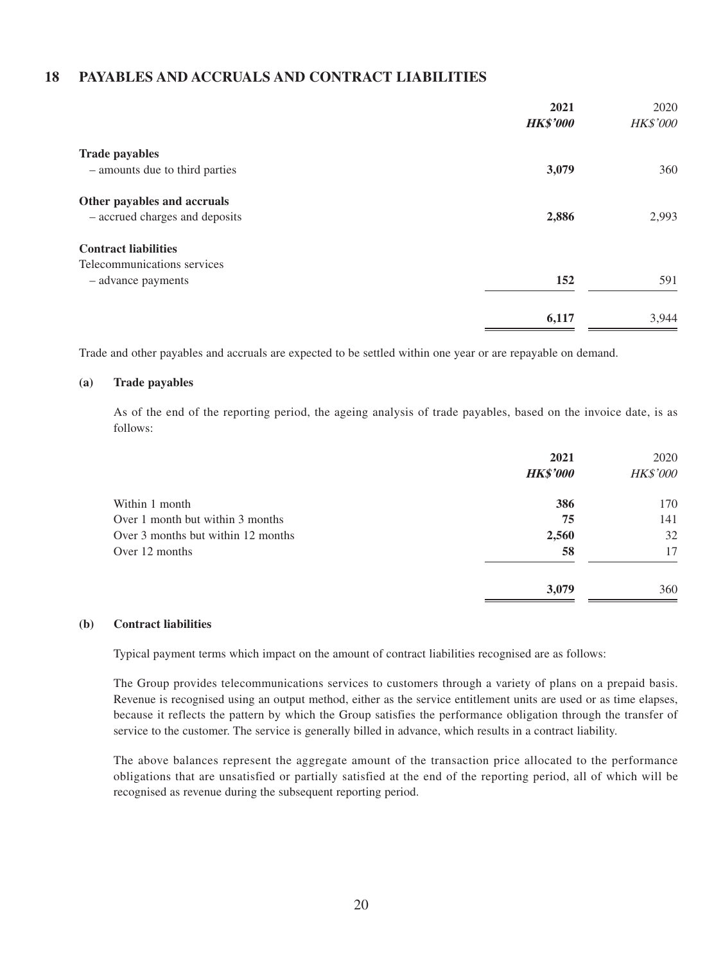### **18 PAYABLES AND ACCRUALS AND CONTRACT LIABILITIES**

|                                                               | 2021<br><b>HK\$'000</b> | 2020<br>HK\$'000 |
|---------------------------------------------------------------|-------------------------|------------------|
| <b>Trade payables</b>                                         |                         |                  |
| - amounts due to third parties                                | 3,079                   | 360              |
| Other payables and accruals<br>- accrued charges and deposits | 2,886                   | 2,993            |
| <b>Contract liabilities</b>                                   |                         |                  |
| Telecommunications services                                   |                         |                  |
| - advance payments                                            | 152                     | 591              |
|                                                               | 6,117                   | 3,944            |

Trade and other payables and accruals are expected to be settled within one year or are repayable on demand.

#### **(a) Trade payables**

As of the end of the reporting period, the ageing analysis of trade payables, based on the invoice date, is as follows:

|                                    | 2021<br><b>HK\$'000</b> | 2020<br><b>HK\$'000</b> |
|------------------------------------|-------------------------|-------------------------|
| Within 1 month                     | 386                     | 170                     |
| Over 1 month but within 3 months   | 75                      | 141                     |
| Over 3 months but within 12 months | 2,560                   | 32                      |
| Over 12 months                     | 58                      | 17                      |
|                                    | 3,079                   | 360                     |

#### **(b) Contract liabilities**

Typical payment terms which impact on the amount of contract liabilities recognised are as follows:

The Group provides telecommunications services to customers through a variety of plans on a prepaid basis. Revenue is recognised using an output method, either as the service entitlement units are used or as time elapses, because it reflects the pattern by which the Group satisfies the performance obligation through the transfer of service to the customer. The service is generally billed in advance, which results in a contract liability.

The above balances represent the aggregate amount of the transaction price allocated to the performance obligations that are unsatisfied or partially satisfied at the end of the reporting period, all of which will be recognised as revenue during the subsequent reporting period.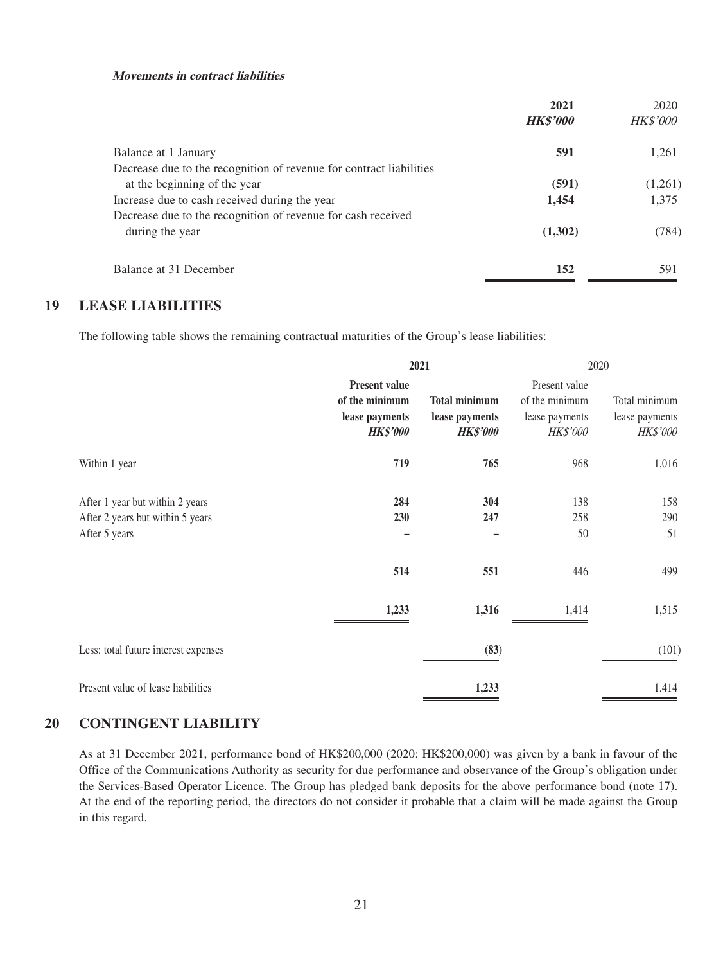#### **Movements in contract liabilities**

| 2021            | 2020            |
|-----------------|-----------------|
| <b>HK\$'000</b> | <b>HK\$'000</b> |
| 591             | 1,261           |
|                 |                 |
| (591)           | (1,261)         |
| 1,454           | 1,375           |
|                 |                 |
| (1,302)         | (784)           |
| 152             | 591             |
|                 |                 |

### **19 LEASE LIABILITIES**

The following table shows the remaining contractual maturities of the Group's lease liabilities:

|                                                                                      |                                                                             | 2021                                                      |                                                               | 2020                                        |  |
|--------------------------------------------------------------------------------------|-----------------------------------------------------------------------------|-----------------------------------------------------------|---------------------------------------------------------------|---------------------------------------------|--|
|                                                                                      | <b>Present value</b><br>of the minimum<br>lease payments<br><b>HK\$'000</b> | <b>Total minimum</b><br>lease payments<br><b>HK\$'000</b> | Present value<br>of the minimum<br>lease payments<br>HK\$'000 | Total minimum<br>lease payments<br>HK\$'000 |  |
| Within 1 year                                                                        | 719                                                                         | 765                                                       | 968                                                           | 1,016                                       |  |
| After 1 year but within 2 years<br>After 2 years but within 5 years<br>After 5 years | 284<br>230                                                                  | 304<br>247                                                | 138<br>258<br>50                                              | 158<br>290<br>51                            |  |
|                                                                                      | 514                                                                         | 551                                                       | 446                                                           | 499                                         |  |
|                                                                                      | 1,233                                                                       | 1,316                                                     | 1,414                                                         | 1,515                                       |  |
| Less: total future interest expenses                                                 |                                                                             | (83)                                                      |                                                               | (101)                                       |  |
| Present value of lease liabilities                                                   |                                                                             | 1,233                                                     |                                                               | 1,414                                       |  |

### **20 CONTINGENT LIABILITY**

As at 31 December 2021, performance bond of HK\$200,000 (2020: HK\$200,000) was given by a bank in favour of the Office of the Communications Authority as security for due performance and observance of the Group's obligation under the Services-Based Operator Licence. The Group has pledged bank deposits for the above performance bond (note 17). At the end of the reporting period, the directors do not consider it probable that a claim will be made against the Group in this regard.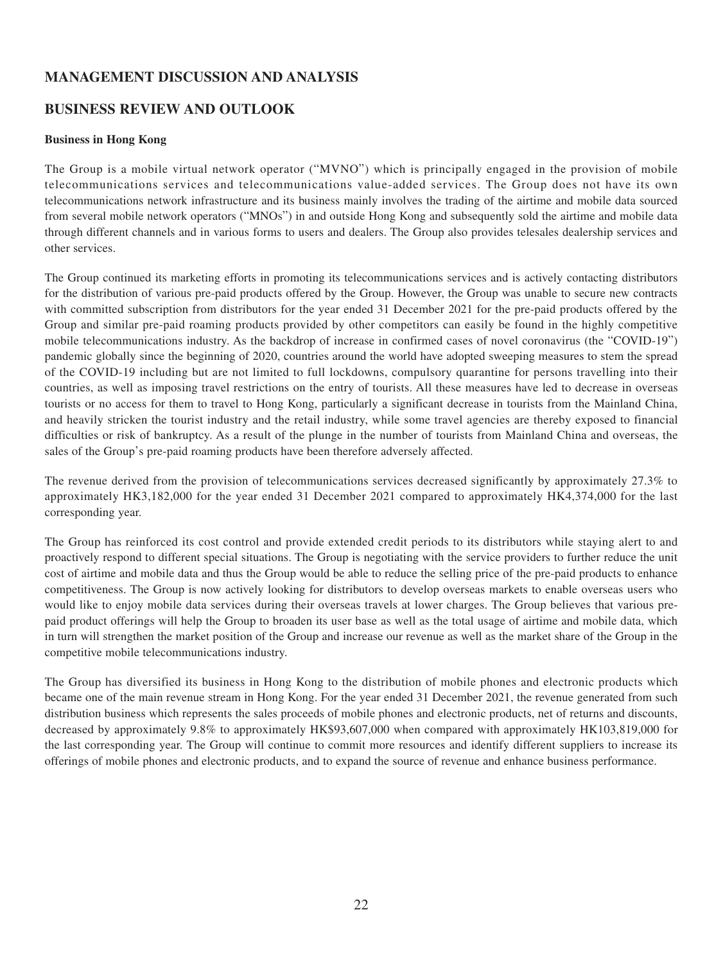# **MANAGEMENT DISCUSSION AND ANALYSIS**

## **BUSINESS REVIEW AND OUTLOOK**

#### **Business in Hong Kong**

The Group is a mobile virtual network operator ("MVNO") which is principally engaged in the provision of mobile telecommunications services and telecommunications value-added services. The Group does not have its own telecommunications network infrastructure and its business mainly involves the trading of the airtime and mobile data sourced from several mobile network operators ("MNOs") in and outside Hong Kong and subsequently sold the airtime and mobile data through different channels and in various forms to users and dealers. The Group also provides telesales dealership services and other services.

The Group continued its marketing efforts in promoting its telecommunications services and is actively contacting distributors for the distribution of various pre-paid products offered by the Group. However, the Group was unable to secure new contracts with committed subscription from distributors for the year ended 31 December 2021 for the pre-paid products offered by the Group and similar pre-paid roaming products provided by other competitors can easily be found in the highly competitive mobile telecommunications industry. As the backdrop of increase in confirmed cases of novel coronavirus (the "COVID-19") pandemic globally since the beginning of 2020, countries around the world have adopted sweeping measures to stem the spread of the COVID-19 including but are not limited to full lockdowns, compulsory quarantine for persons travelling into their countries, as well as imposing travel restrictions on the entry of tourists. All these measures have led to decrease in overseas tourists or no access for them to travel to Hong Kong, particularly a significant decrease in tourists from the Mainland China, and heavily stricken the tourist industry and the retail industry, while some travel agencies are thereby exposed to financial difficulties or risk of bankruptcy. As a result of the plunge in the number of tourists from Mainland China and overseas, the sales of the Group's pre-paid roaming products have been therefore adversely affected.

The revenue derived from the provision of telecommunications services decreased significantly by approximately 27.3% to approximately HK3,182,000 for the year ended 31 December 2021 compared to approximately HK4,374,000 for the last corresponding year.

The Group has reinforced its cost control and provide extended credit periods to its distributors while staying alert to and proactively respond to different special situations. The Group is negotiating with the service providers to further reduce the unit cost of airtime and mobile data and thus the Group would be able to reduce the selling price of the pre-paid products to enhance competitiveness. The Group is now actively looking for distributors to develop overseas markets to enable overseas users who would like to enjoy mobile data services during their overseas travels at lower charges. The Group believes that various prepaid product offerings will help the Group to broaden its user base as well as the total usage of airtime and mobile data, which in turn will strengthen the market position of the Group and increase our revenue as well as the market share of the Group in the competitive mobile telecommunications industry.

The Group has diversified its business in Hong Kong to the distribution of mobile phones and electronic products which became one of the main revenue stream in Hong Kong. For the year ended 31 December 2021, the revenue generated from such distribution business which represents the sales proceeds of mobile phones and electronic products, net of returns and discounts, decreased by approximately 9.8% to approximately HK\$93,607,000 when compared with approximately HK103,819,000 for the last corresponding year. The Group will continue to commit more resources and identify different suppliers to increase its offerings of mobile phones and electronic products, and to expand the source of revenue and enhance business performance.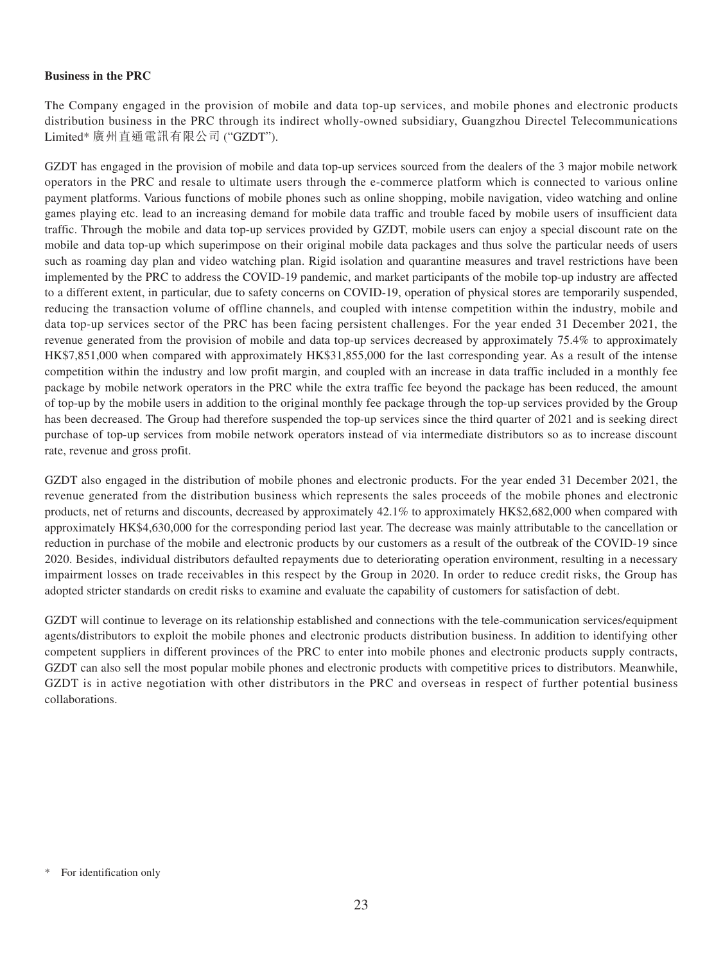#### **Business in the PRC**

The Company engaged in the provision of mobile and data top-up services, and mobile phones and electronic products distribution business in the PRC through its indirect wholly-owned subsidiary, Guangzhou Directel Telecommunications Limited\* 廣州直通電訊有限公司 ("GZDT").

GZDT has engaged in the provision of mobile and data top-up services sourced from the dealers of the 3 major mobile network operators in the PRC and resale to ultimate users through the e-commerce platform which is connected to various online payment platforms. Various functions of mobile phones such as online shopping, mobile navigation, video watching and online games playing etc. lead to an increasing demand for mobile data traffic and trouble faced by mobile users of insufficient data traffic. Through the mobile and data top-up services provided by GZDT, mobile users can enjoy a special discount rate on the mobile and data top-up which superimpose on their original mobile data packages and thus solve the particular needs of users such as roaming day plan and video watching plan. Rigid isolation and quarantine measures and travel restrictions have been implemented by the PRC to address the COVID-19 pandemic, and market participants of the mobile top-up industry are affected to a different extent, in particular, due to safety concerns on COVID-19, operation of physical stores are temporarily suspended, reducing the transaction volume of offline channels, and coupled with intense competition within the industry, mobile and data top-up services sector of the PRC has been facing persistent challenges. For the year ended 31 December 2021, the revenue generated from the provision of mobile and data top-up services decreased by approximately 75.4% to approximately HK\$7,851,000 when compared with approximately HK\$31,855,000 for the last corresponding year. As a result of the intense competition within the industry and low profit margin, and coupled with an increase in data traffic included in a monthly fee package by mobile network operators in the PRC while the extra traffic fee beyond the package has been reduced, the amount of top-up by the mobile users in addition to the original monthly fee package through the top-up services provided by the Group has been decreased. The Group had therefore suspended the top-up services since the third quarter of 2021 and is seeking direct purchase of top-up services from mobile network operators instead of via intermediate distributors so as to increase discount rate, revenue and gross profit.

GZDT also engaged in the distribution of mobile phones and electronic products. For the year ended 31 December 2021, the revenue generated from the distribution business which represents the sales proceeds of the mobile phones and electronic products, net of returns and discounts, decreased by approximately 42.1% to approximately HK\$2,682,000 when compared with approximately HK\$4,630,000 for the corresponding period last year. The decrease was mainly attributable to the cancellation or reduction in purchase of the mobile and electronic products by our customers as a result of the outbreak of the COVID-19 since 2020. Besides, individual distributors defaulted repayments due to deteriorating operation environment, resulting in a necessary impairment losses on trade receivables in this respect by the Group in 2020. In order to reduce credit risks, the Group has adopted stricter standards on credit risks to examine and evaluate the capability of customers for satisfaction of debt.

GZDT will continue to leverage on its relationship established and connections with the tele-communication services/equipment agents/distributors to exploit the mobile phones and electronic products distribution business. In addition to identifying other competent suppliers in different provinces of the PRC to enter into mobile phones and electronic products supply contracts, GZDT can also sell the most popular mobile phones and electronic products with competitive prices to distributors. Meanwhile, GZDT is in active negotiation with other distributors in the PRC and overseas in respect of further potential business collaborations.

For identification only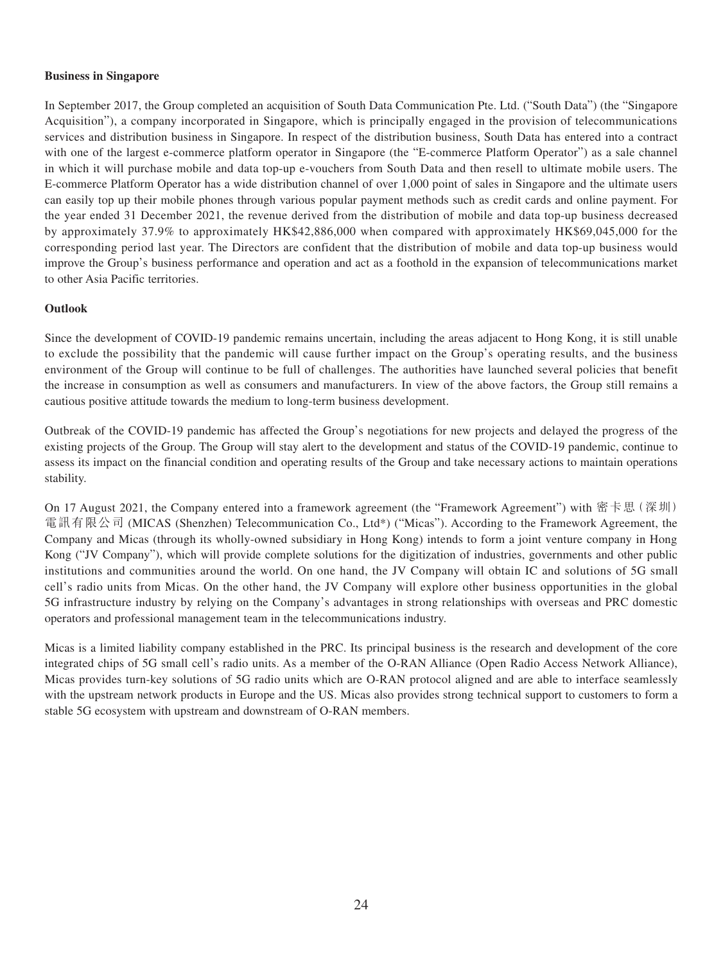#### **Business in Singapore**

In September 2017, the Group completed an acquisition of South Data Communication Pte. Ltd. ("South Data") (the "Singapore Acquisition"), a company incorporated in Singapore, which is principally engaged in the provision of telecommunications services and distribution business in Singapore. In respect of the distribution business, South Data has entered into a contract with one of the largest e-commerce platform operator in Singapore (the "E-commerce Platform Operator") as a sale channel in which it will purchase mobile and data top-up e-vouchers from South Data and then resell to ultimate mobile users. The E-commerce Platform Operator has a wide distribution channel of over 1,000 point of sales in Singapore and the ultimate users can easily top up their mobile phones through various popular payment methods such as credit cards and online payment. For the year ended 31 December 2021, the revenue derived from the distribution of mobile and data top-up business decreased by approximately 37.9% to approximately HK\$42,886,000 when compared with approximately HK\$69,045,000 for the corresponding period last year. The Directors are confident that the distribution of mobile and data top-up business would improve the Group's business performance and operation and act as a foothold in the expansion of telecommunications market to other Asia Pacific territories.

#### **Outlook**

Since the development of COVID-19 pandemic remains uncertain, including the areas adjacent to Hong Kong, it is still unable to exclude the possibility that the pandemic will cause further impact on the Group's operating results, and the business environment of the Group will continue to be full of challenges. The authorities have launched several policies that benefit the increase in consumption as well as consumers and manufacturers. In view of the above factors, the Group still remains a cautious positive attitude towards the medium to long-term business development.

Outbreak of the COVID-19 pandemic has affected the Group's negotiations for new projects and delayed the progress of the existing projects of the Group. The Group will stay alert to the development and status of the COVID-19 pandemic, continue to assess its impact on the financial condition and operating results of the Group and take necessary actions to maintain operations stability.

On 17 August 2021, the Company entered into a framework agreement (the "Framework Agreement") with 密卡思(深圳) 電訊有限公司 (MICAS (Shenzhen) Telecommunication Co., Ltd\*) ("Micas"). According to the Framework Agreement, the Company and Micas (through its wholly-owned subsidiary in Hong Kong) intends to form a joint venture company in Hong Kong ("JV Company"), which will provide complete solutions for the digitization of industries, governments and other public institutions and communities around the world. On one hand, the JV Company will obtain IC and solutions of 5G small cell's radio units from Micas. On the other hand, the JV Company will explore other business opportunities in the global 5G infrastructure industry by relying on the Company's advantages in strong relationships with overseas and PRC domestic operators and professional management team in the telecommunications industry.

Micas is a limited liability company established in the PRC. Its principal business is the research and development of the core integrated chips of 5G small cell's radio units. As a member of the O-RAN Alliance (Open Radio Access Network Alliance), Micas provides turn-key solutions of 5G radio units which are O-RAN protocol aligned and are able to interface seamlessly with the upstream network products in Europe and the US. Micas also provides strong technical support to customers to form a stable 5G ecosystem with upstream and downstream of O-RAN members.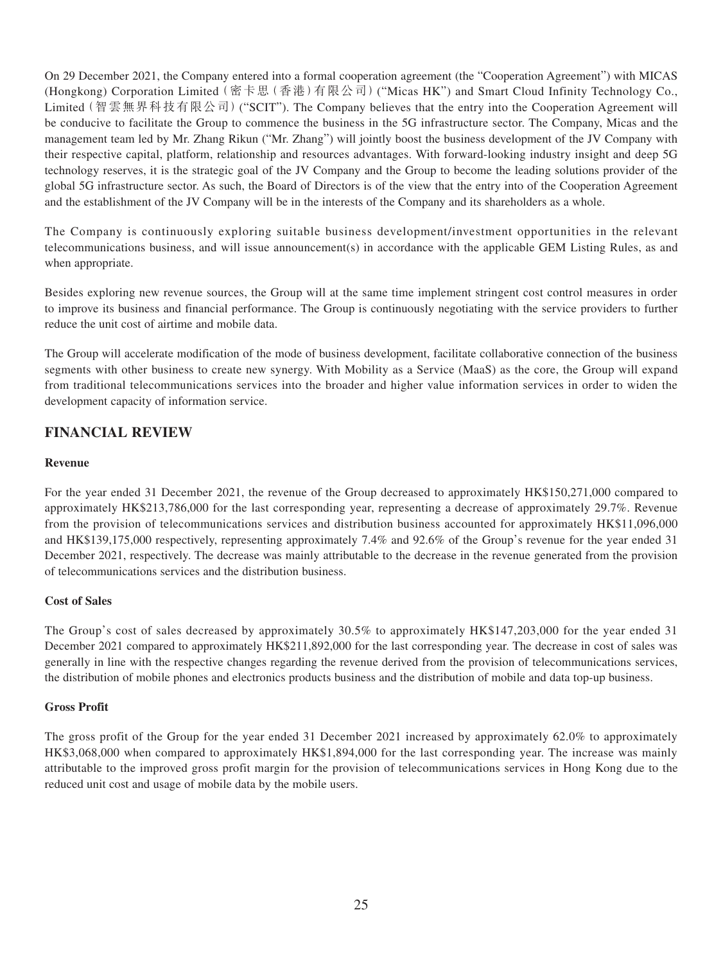On 29 December 2021, the Company entered into a formal cooperation agreement (the "Cooperation Agreement") with MICAS (Hongkong) Corporation Limited(密卡思(香港)有限公司)("Micas HK") and Smart Cloud Infinity Technology Co., Limited(智雲無界科技有限公司)("SCIT"). The Company believes that the entry into the Cooperation Agreement will be conducive to facilitate the Group to commence the business in the 5G infrastructure sector. The Company, Micas and the management team led by Mr. Zhang Rikun ("Mr. Zhang") will jointly boost the business development of the JV Company with their respective capital, platform, relationship and resources advantages. With forward-looking industry insight and deep 5G technology reserves, it is the strategic goal of the JV Company and the Group to become the leading solutions provider of the global 5G infrastructure sector. As such, the Board of Directors is of the view that the entry into of the Cooperation Agreement and the establishment of the JV Company will be in the interests of the Company and its shareholders as a whole.

The Company is continuously exploring suitable business development/investment opportunities in the relevant telecommunications business, and will issue announcement(s) in accordance with the applicable GEM Listing Rules, as and when appropriate.

Besides exploring new revenue sources, the Group will at the same time implement stringent cost control measures in order to improve its business and financial performance. The Group is continuously negotiating with the service providers to further reduce the unit cost of airtime and mobile data.

The Group will accelerate modification of the mode of business development, facilitate collaborative connection of the business segments with other business to create new synergy. With Mobility as a Service (MaaS) as the core, the Group will expand from traditional telecommunications services into the broader and higher value information services in order to widen the development capacity of information service.

# **FINANCIAL REVIEW**

#### **Revenue**

For the year ended 31 December 2021, the revenue of the Group decreased to approximately HK\$150,271,000 compared to approximately HK\$213,786,000 for the last corresponding year, representing a decrease of approximately 29.7%. Revenue from the provision of telecommunications services and distribution business accounted for approximately HK\$11,096,000 and HK\$139,175,000 respectively, representing approximately 7.4% and 92.6% of the Group's revenue for the year ended 31 December 2021, respectively. The decrease was mainly attributable to the decrease in the revenue generated from the provision of telecommunications services and the distribution business.

### **Cost of Sales**

The Group's cost of sales decreased by approximately 30.5% to approximately HK\$147,203,000 for the year ended 31 December 2021 compared to approximately HK\$211,892,000 for the last corresponding year. The decrease in cost of sales was generally in line with the respective changes regarding the revenue derived from the provision of telecommunications services, the distribution of mobile phones and electronics products business and the distribution of mobile and data top-up business.

#### **Gross Profit**

The gross profit of the Group for the year ended 31 December 2021 increased by approximately 62.0% to approximately HK\$3,068,000 when compared to approximately HK\$1,894,000 for the last corresponding year. The increase was mainly attributable to the improved gross profit margin for the provision of telecommunications services in Hong Kong due to the reduced unit cost and usage of mobile data by the mobile users.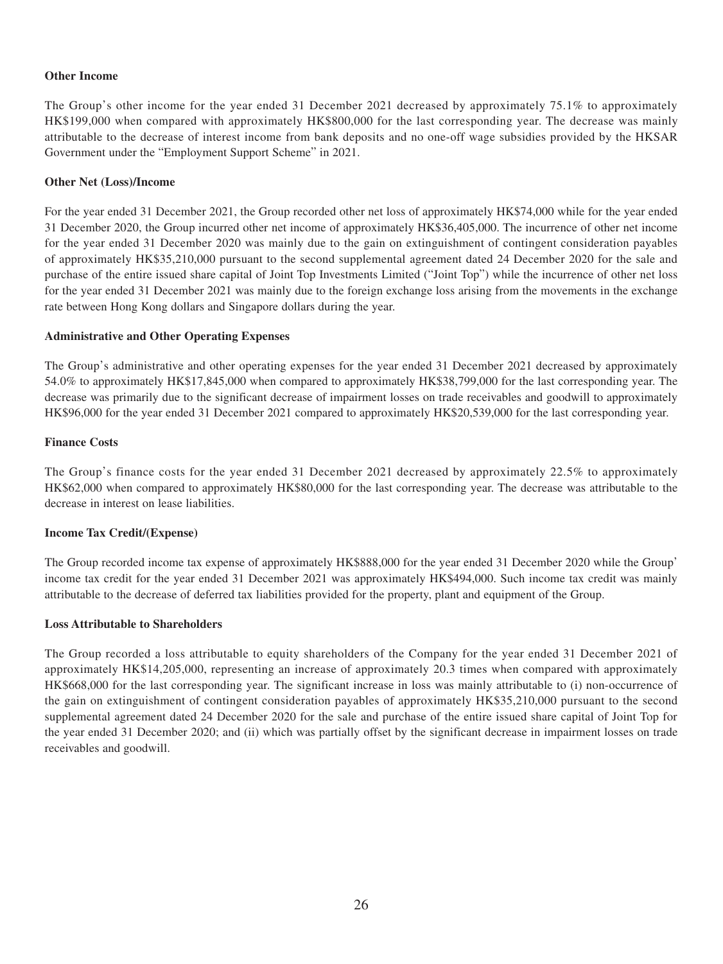#### **Other Income**

The Group's other income for the year ended 31 December 2021 decreased by approximately 75.1% to approximately HK\$199,000 when compared with approximately HK\$800,000 for the last corresponding year. The decrease was mainly attributable to the decrease of interest income from bank deposits and no one-off wage subsidies provided by the HKSAR Government under the "Employment Support Scheme" in 2021.

#### **Other Net (Loss)/Income**

For the year ended 31 December 2021, the Group recorded other net loss of approximately HK\$74,000 while for the year ended 31 December 2020, the Group incurred other net income of approximately HK\$36,405,000. The incurrence of other net income for the year ended 31 December 2020 was mainly due to the gain on extinguishment of contingent consideration payables of approximately HK\$35,210,000 pursuant to the second supplemental agreement dated 24 December 2020 for the sale and purchase of the entire issued share capital of Joint Top Investments Limited ("Joint Top") while the incurrence of other net loss for the year ended 31 December 2021 was mainly due to the foreign exchange loss arising from the movements in the exchange rate between Hong Kong dollars and Singapore dollars during the year.

#### **Administrative and Other Operating Expenses**

The Group's administrative and other operating expenses for the year ended 31 December 2021 decreased by approximately 54.0% to approximately HK\$17,845,000 when compared to approximately HK\$38,799,000 for the last corresponding year. The decrease was primarily due to the significant decrease of impairment losses on trade receivables and goodwill to approximately HK\$96,000 for the year ended 31 December 2021 compared to approximately HK\$20,539,000 for the last corresponding year.

#### **Finance Costs**

The Group's finance costs for the year ended 31 December 2021 decreased by approximately 22.5% to approximately HK\$62,000 when compared to approximately HK\$80,000 for the last corresponding year. The decrease was attributable to the decrease in interest on lease liabilities.

### **Income Tax Credit/(Expense)**

The Group recorded income tax expense of approximately HK\$888,000 for the year ended 31 December 2020 while the Group' income tax credit for the year ended 31 December 2021 was approximately HK\$494,000. Such income tax credit was mainly attributable to the decrease of deferred tax liabilities provided for the property, plant and equipment of the Group.

#### **Loss Attributable to Shareholders**

The Group recorded a loss attributable to equity shareholders of the Company for the year ended 31 December 2021 of approximately HK\$14,205,000, representing an increase of approximately 20.3 times when compared with approximately HK\$668,000 for the last corresponding year. The significant increase in loss was mainly attributable to (i) non-occurrence of the gain on extinguishment of contingent consideration payables of approximately HK\$35,210,000 pursuant to the second supplemental agreement dated 24 December 2020 for the sale and purchase of the entire issued share capital of Joint Top for the year ended 31 December 2020; and (ii) which was partially offset by the significant decrease in impairment losses on trade receivables and goodwill.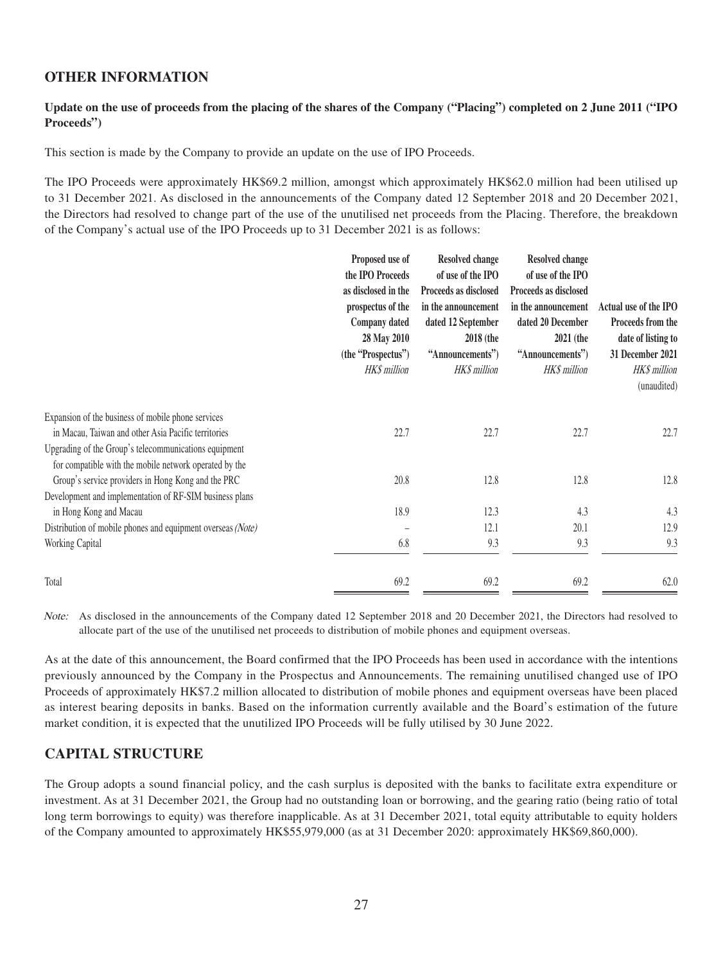### **OTHER INFORMATION**

### **Update on the use of proceeds from the placing of the shares of the Company ("Placing") completed on 2 June 2011 ("IPO Proceeds")**

This section is made by the Company to provide an update on the use of IPO Proceeds.

The IPO Proceeds were approximately HK\$69.2 million, amongst which approximately HK\$62.0 million had been utilised up to 31 December 2021. As disclosed in the announcements of the Company dated 12 September 2018 and 20 December 2021, the Directors had resolved to change part of the use of the unutilised net proceeds from the Placing. Therefore, the breakdown of the Company's actual use of the IPO Proceeds up to 31 December 2021 is as follows:

|                                                                                                                 | Proposed use of<br>the IPO Proceeds<br>as disclosed in the<br>prospectus of the<br>Company dated<br>28 May 2010<br>(the "Prospectus")<br>HK\$ million | <b>Resolved change</b><br>of use of the IPO<br>Proceeds as disclosed<br>in the announcement<br>dated 12 September<br><b>2018</b> (the<br>"Announcements")<br><b>HKS</b> million | <b>Resolved change</b><br>of use of the IPO<br>Proceeds as disclosed<br>in the announcement<br>dated 20 December<br>2021 (the<br>"Announcements")<br><b>HK\$</b> million | Actual use of the IPO<br>Proceeds from the<br>date of listing to<br>31 December 2021<br>HK\$ million<br>(unaudited) |
|-----------------------------------------------------------------------------------------------------------------|-------------------------------------------------------------------------------------------------------------------------------------------------------|---------------------------------------------------------------------------------------------------------------------------------------------------------------------------------|--------------------------------------------------------------------------------------------------------------------------------------------------------------------------|---------------------------------------------------------------------------------------------------------------------|
| Expansion of the business of mobile phone services<br>in Macau, Taiwan and other Asia Pacific territories       | 22.7                                                                                                                                                  | 22.7                                                                                                                                                                            | 22.7                                                                                                                                                                     | 22.7                                                                                                                |
| Upgrading of the Group's telecommunications equipment<br>for compatible with the mobile network operated by the |                                                                                                                                                       |                                                                                                                                                                                 |                                                                                                                                                                          |                                                                                                                     |
| Group's service providers in Hong Kong and the PRC                                                              | 20.8                                                                                                                                                  | 12.8                                                                                                                                                                            | 12.8                                                                                                                                                                     | 12.8                                                                                                                |
| Development and implementation of RF-SIM business plans<br>in Hong Kong and Macau                               | 18.9                                                                                                                                                  | 12.3                                                                                                                                                                            | 4.3                                                                                                                                                                      | 4.3                                                                                                                 |
| Distribution of mobile phones and equipment overseas (Note)                                                     |                                                                                                                                                       | 12.1                                                                                                                                                                            | 20.1                                                                                                                                                                     | 12.9                                                                                                                |
| Working Capital                                                                                                 | 6.8                                                                                                                                                   | 9.3                                                                                                                                                                             | 9.3                                                                                                                                                                      | 9.3                                                                                                                 |
| Total                                                                                                           | 69.2                                                                                                                                                  | 69.2                                                                                                                                                                            | 69.2                                                                                                                                                                     | 62.0                                                                                                                |

Note: As disclosed in the announcements of the Company dated 12 September 2018 and 20 December 2021, the Directors had resolved to allocate part of the use of the unutilised net proceeds to distribution of mobile phones and equipment overseas.

As at the date of this announcement, the Board confirmed that the IPO Proceeds has been used in accordance with the intentions previously announced by the Company in the Prospectus and Announcements. The remaining unutilised changed use of IPO Proceeds of approximately HK\$7.2 million allocated to distribution of mobile phones and equipment overseas have been placed as interest bearing deposits in banks. Based on the information currently available and the Board's estimation of the future market condition, it is expected that the unutilized IPO Proceeds will be fully utilised by 30 June 2022.

### **CAPITAL STRUCTURE**

The Group adopts a sound financial policy, and the cash surplus is deposited with the banks to facilitate extra expenditure or investment. As at 31 December 2021, the Group had no outstanding loan or borrowing, and the gearing ratio (being ratio of total long term borrowings to equity) was therefore inapplicable. As at 31 December 2021, total equity attributable to equity holders of the Company amounted to approximately HK\$55,979,000 (as at 31 December 2020: approximately HK\$69,860,000).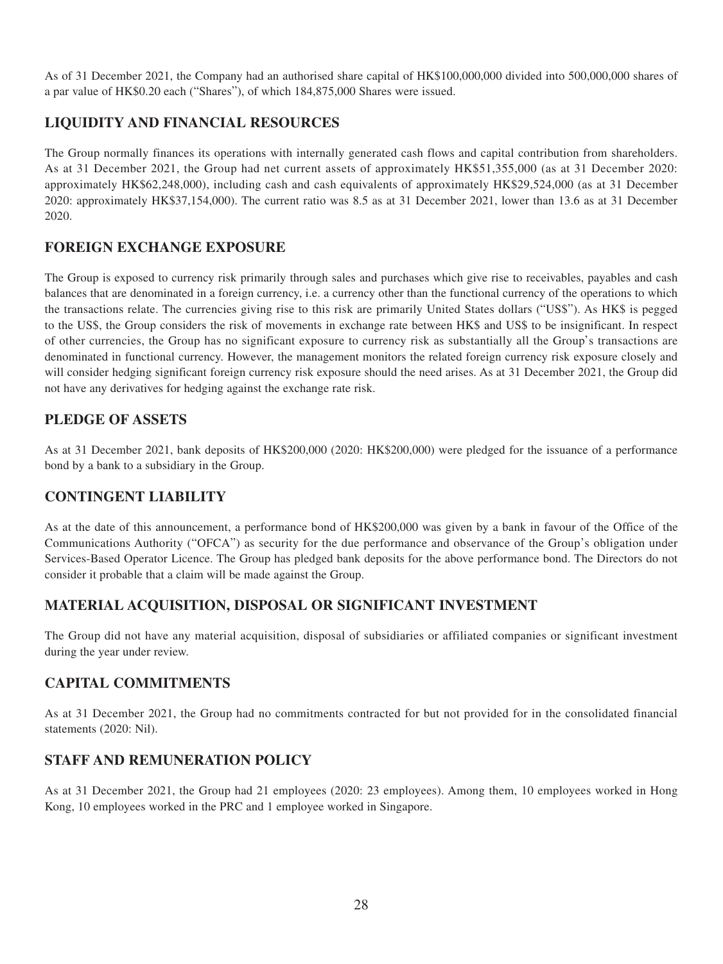As of 31 December 2021, the Company had an authorised share capital of HK\$100,000,000 divided into 500,000,000 shares of a par value of HK\$0.20 each ("Shares"), of which 184,875,000 Shares were issued.

# **LIQUIDITY AND FINANCIAL RESOURCES**

The Group normally finances its operations with internally generated cash flows and capital contribution from shareholders. As at 31 December 2021, the Group had net current assets of approximately HK\$51,355,000 (as at 31 December 2020: approximately HK\$62,248,000), including cash and cash equivalents of approximately HK\$29,524,000 (as at 31 December 2020: approximately HK\$37,154,000). The current ratio was 8.5 as at 31 December 2021, lower than 13.6 as at 31 December 2020.

### **FOREIGN EXCHANGE EXPOSURE**

The Group is exposed to currency risk primarily through sales and purchases which give rise to receivables, payables and cash balances that are denominated in a foreign currency, i.e. a currency other than the functional currency of the operations to which the transactions relate. The currencies giving rise to this risk are primarily United States dollars ("US\$"). As HK\$ is pegged to the US\$, the Group considers the risk of movements in exchange rate between HK\$ and US\$ to be insignificant. In respect of other currencies, the Group has no significant exposure to currency risk as substantially all the Group's transactions are denominated in functional currency. However, the management monitors the related foreign currency risk exposure closely and will consider hedging significant foreign currency risk exposure should the need arises. As at 31 December 2021, the Group did not have any derivatives for hedging against the exchange rate risk.

### **PLEDGE OF ASSETS**

As at 31 December 2021, bank deposits of HK\$200,000 (2020: HK\$200,000) were pledged for the issuance of a performance bond by a bank to a subsidiary in the Group.

# **CONTINGENT LIABILITY**

As at the date of this announcement, a performance bond of HK\$200,000 was given by a bank in favour of the Office of the Communications Authority ("OFCA") as security for the due performance and observance of the Group's obligation under Services-Based Operator Licence. The Group has pledged bank deposits for the above performance bond. The Directors do not consider it probable that a claim will be made against the Group.

### **MATERIAL ACQUISITION, DISPOSAL OR SIGNIFICANT INVESTMENT**

The Group did not have any material acquisition, disposal of subsidiaries or affiliated companies or significant investment during the year under review.

### **CAPITAL COMMITMENTS**

As at 31 December 2021, the Group had no commitments contracted for but not provided for in the consolidated financial statements (2020: Nil).

# **STAFF AND REMUNERATION POLICY**

As at 31 December 2021, the Group had 21 employees (2020: 23 employees). Among them, 10 employees worked in Hong Kong, 10 employees worked in the PRC and 1 employee worked in Singapore.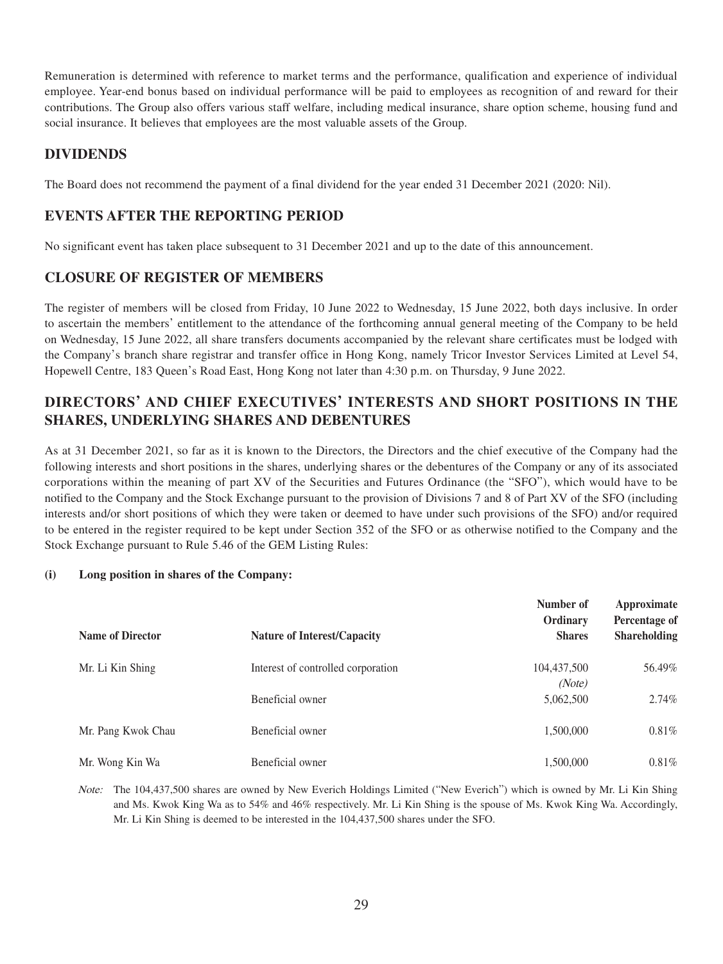Remuneration is determined with reference to market terms and the performance, qualification and experience of individual employee. Year-end bonus based on individual performance will be paid to employees as recognition of and reward for their contributions. The Group also offers various staff welfare, including medical insurance, share option scheme, housing fund and social insurance. It believes that employees are the most valuable assets of the Group.

## **DIVIDENDS**

The Board does not recommend the payment of a final dividend for the year ended 31 December 2021 (2020: Nil).

# **EVENTS AFTER THE REPORTING PERIOD**

No significant event has taken place subsequent to 31 December 2021 and up to the date of this announcement.

### **CLOSURE OF REGISTER OF MEMBERS**

The register of members will be closed from Friday, 10 June 2022 to Wednesday, 15 June 2022, both days inclusive. In order to ascertain the members' entitlement to the attendance of the forthcoming annual general meeting of the Company to be held on Wednesday, 15 June 2022, all share transfers documents accompanied by the relevant share certificates must be lodged with the Company's branch share registrar and transfer office in Hong Kong, namely Tricor Investor Services Limited at Level 54, Hopewell Centre, 183 Queen's Road East, Hong Kong not later than 4:30 p.m. on Thursday, 9 June 2022.

# **DIRECTORS' AND CHIEF EXECUTIVES' INTERESTS AND SHORT POSITIONS IN THE SHARES, UNDERLYING SHARES AND DEBENTURES**

As at 31 December 2021, so far as it is known to the Directors, the Directors and the chief executive of the Company had the following interests and short positions in the shares, underlying shares or the debentures of the Company or any of its associated corporations within the meaning of part XV of the Securities and Futures Ordinance (the "SFO"), which would have to be notified to the Company and the Stock Exchange pursuant to the provision of Divisions 7 and 8 of Part XV of the SFO (including interests and/or short positions of which they were taken or deemed to have under such provisions of the SFO) and/or required to be entered in the register required to be kept under Section 352 of the SFO or as otherwise notified to the Company and the Stock Exchange pursuant to Rule 5.46 of the GEM Listing Rules:

#### **(i) Long position in shares of the Company:**

| <b>Name of Director</b> | <b>Nature of Interest/Capacity</b> | Number of<br>Ordinary<br><b>Shares</b> | Approximate<br>Percentage of<br><b>Shareholding</b> |
|-------------------------|------------------------------------|----------------------------------------|-----------------------------------------------------|
| Mr. Li Kin Shing        | Interest of controlled corporation | 104,437,500                            | 56.49%                                              |
|                         |                                    | (Note)                                 |                                                     |
|                         | Beneficial owner                   | 5,062,500                              | $2.74\%$                                            |
| Mr. Pang Kwok Chau      | Beneficial owner                   | 1,500,000                              | 0.81%                                               |
| Mr. Wong Kin Wa         | Beneficial owner                   | 1,500,000                              | 0.81%                                               |

Note: The 104,437,500 shares are owned by New Everich Holdings Limited ("New Everich") which is owned by Mr. Li Kin Shing and Ms. Kwok King Wa as to 54% and 46% respectively. Mr. Li Kin Shing is the spouse of Ms. Kwok King Wa. Accordingly, Mr. Li Kin Shing is deemed to be interested in the 104,437,500 shares under the SFO.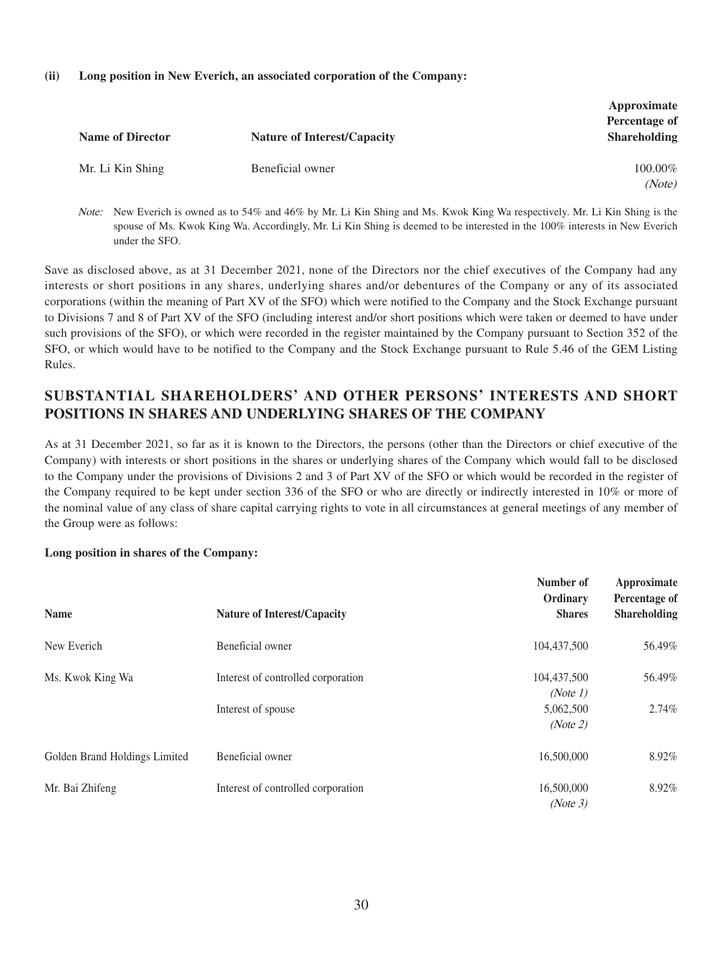#### **(ii) Long position in New Everich, an associated corporation of the Company:**

| <b>Name of Director</b> | <b>Nature of Interest/Capacity</b> | Approximate<br>Percentage of<br><b>Shareholding</b> |
|-------------------------|------------------------------------|-----------------------------------------------------|
| Mr. Li Kin Shing        | Beneficial owner                   | 100.00%<br>(Note)                                   |

Note: New Everich is owned as to 54% and 46% by Mr. Li Kin Shing and Ms. Kwok King Wa respectively. Mr. Li Kin Shing is the spouse of Ms. Kwok King Wa. Accordingly, Mr. Li Kin Shing is deemed to be interested in the 100% interests in New Everich under the SFO.

Save as disclosed above, as at 31 December 2021, none of the Directors nor the chief executives of the Company had any interests or short positions in any shares, underlying shares and/or debentures of the Company or any of its associated corporations (within the meaning of Part XV of the SFO) which were notified to the Company and the Stock Exchange pursuant to Divisions 7 and 8 of Part XV of the SFO (including interest and/or short positions which were taken or deemed to have under such provisions of the SFO), or which were recorded in the register maintained by the Company pursuant to Section 352 of the SFO, or which would have to be notified to the Company and the Stock Exchange pursuant to Rule 5.46 of the GEM Listing Rules.

# **SUBSTANTIAL SHAREHOLDERS' AND OTHER PERSONS' INTERESTS AND SHORT POSITIONS IN SHARES AND UNDERLYING SHARES OF THE COMPANY**

As at 31 December 2021, so far as it is known to the Directors, the persons (other than the Directors or chief executive of the Company) with interests or short positions in the shares or underlying shares of the Company which would fall to be disclosed to the Company under the provisions of Divisions 2 and 3 of Part XV of the SFO or which would be recorded in the register of the Company required to be kept under section 336 of the SFO or who are directly or indirectly interested in 10% or more of the nominal value of any class of share capital carrying rights to vote in all circumstances at general meetings of any member of the Group were as follows:

#### **Long position in shares of the Company:**

|                               |                                    | Number of<br>Ordinary | Approximate<br>Percentage of |
|-------------------------------|------------------------------------|-----------------------|------------------------------|
| <b>Name</b>                   | <b>Nature of Interest/Capacity</b> | <b>Shares</b>         | <b>Shareholding</b>          |
| New Everich                   | Beneficial owner                   | 104,437,500           | 56.49%                       |
| Ms. Kwok King Wa              | Interest of controlled corporation | 104,437,500           | 56.49%                       |
|                               |                                    | (Note 1)              |                              |
|                               | Interest of spouse                 | 5,062,500             | $2.74\%$                     |
|                               |                                    | (Note 2)              |                              |
| Golden Brand Holdings Limited | Beneficial owner                   | 16,500,000            | 8.92%                        |
| Mr. Bai Zhifeng               | Interest of controlled corporation | 16,500,000            | 8.92%                        |
|                               |                                    | (Note 3)              |                              |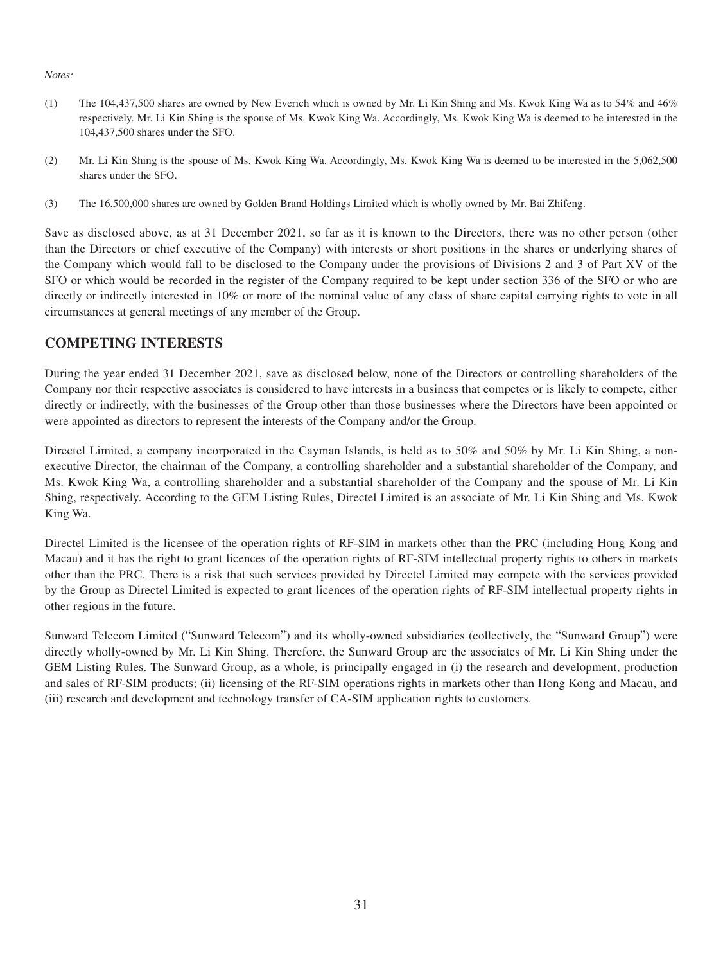#### Notes:

- (1) The 104,437,500 shares are owned by New Everich which is owned by Mr. Li Kin Shing and Ms. Kwok King Wa as to 54% and 46% respectively. Mr. Li Kin Shing is the spouse of Ms. Kwok King Wa. Accordingly, Ms. Kwok King Wa is deemed to be interested in the 104,437,500 shares under the SFO.
- (2) Mr. Li Kin Shing is the spouse of Ms. Kwok King Wa. Accordingly, Ms. Kwok King Wa is deemed to be interested in the 5,062,500 shares under the SFO.
- (3) The 16,500,000 shares are owned by Golden Brand Holdings Limited which is wholly owned by Mr. Bai Zhifeng.

Save as disclosed above, as at 31 December 2021, so far as it is known to the Directors, there was no other person (other than the Directors or chief executive of the Company) with interests or short positions in the shares or underlying shares of the Company which would fall to be disclosed to the Company under the provisions of Divisions 2 and 3 of Part XV of the SFO or which would be recorded in the register of the Company required to be kept under section 336 of the SFO or who are directly or indirectly interested in 10% or more of the nominal value of any class of share capital carrying rights to vote in all circumstances at general meetings of any member of the Group.

### **COMPETING INTERESTS**

During the year ended 31 December 2021, save as disclosed below, none of the Directors or controlling shareholders of the Company nor their respective associates is considered to have interests in a business that competes or is likely to compete, either directly or indirectly, with the businesses of the Group other than those businesses where the Directors have been appointed or were appointed as directors to represent the interests of the Company and/or the Group.

Directel Limited, a company incorporated in the Cayman Islands, is held as to 50% and 50% by Mr. Li Kin Shing, a nonexecutive Director, the chairman of the Company, a controlling shareholder and a substantial shareholder of the Company, and Ms. Kwok King Wa, a controlling shareholder and a substantial shareholder of the Company and the spouse of Mr. Li Kin Shing, respectively. According to the GEM Listing Rules, Directel Limited is an associate of Mr. Li Kin Shing and Ms. Kwok King Wa.

Directel Limited is the licensee of the operation rights of RF-SIM in markets other than the PRC (including Hong Kong and Macau) and it has the right to grant licences of the operation rights of RF-SIM intellectual property rights to others in markets other than the PRC. There is a risk that such services provided by Directel Limited may compete with the services provided by the Group as Directel Limited is expected to grant licences of the operation rights of RF-SIM intellectual property rights in other regions in the future.

Sunward Telecom Limited ("Sunward Telecom") and its wholly-owned subsidiaries (collectively, the "Sunward Group") were directly wholly-owned by Mr. Li Kin Shing. Therefore, the Sunward Group are the associates of Mr. Li Kin Shing under the GEM Listing Rules. The Sunward Group, as a whole, is principally engaged in (i) the research and development, production and sales of RF-SIM products; (ii) licensing of the RF-SIM operations rights in markets other than Hong Kong and Macau, and (iii) research and development and technology transfer of CA-SIM application rights to customers.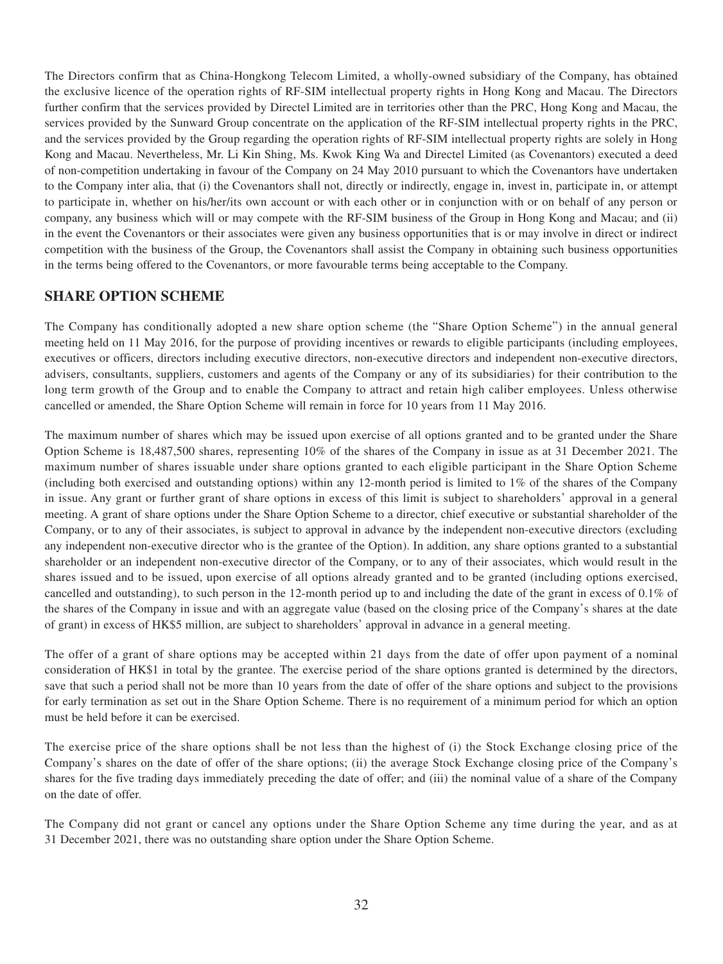The Directors confirm that as China-Hongkong Telecom Limited, a wholly-owned subsidiary of the Company, has obtained the exclusive licence of the operation rights of RF-SIM intellectual property rights in Hong Kong and Macau. The Directors further confirm that the services provided by Directel Limited are in territories other than the PRC, Hong Kong and Macau, the services provided by the Sunward Group concentrate on the application of the RF-SIM intellectual property rights in the PRC, and the services provided by the Group regarding the operation rights of RF-SIM intellectual property rights are solely in Hong Kong and Macau. Nevertheless, Mr. Li Kin Shing, Ms. Kwok King Wa and Directel Limited (as Covenantors) executed a deed of non-competition undertaking in favour of the Company on 24 May 2010 pursuant to which the Covenantors have undertaken to the Company inter alia, that (i) the Covenantors shall not, directly or indirectly, engage in, invest in, participate in, or attempt to participate in, whether on his/her/its own account or with each other or in conjunction with or on behalf of any person or company, any business which will or may compete with the RF-SIM business of the Group in Hong Kong and Macau; and (ii) in the event the Covenantors or their associates were given any business opportunities that is or may involve in direct or indirect competition with the business of the Group, the Covenantors shall assist the Company in obtaining such business opportunities in the terms being offered to the Covenantors, or more favourable terms being acceptable to the Company.

### **SHARE OPTION SCHEME**

The Company has conditionally adopted a new share option scheme (the "Share Option Scheme") in the annual general meeting held on 11 May 2016, for the purpose of providing incentives or rewards to eligible participants (including employees, executives or officers, directors including executive directors, non-executive directors and independent non-executive directors, advisers, consultants, suppliers, customers and agents of the Company or any of its subsidiaries) for their contribution to the long term growth of the Group and to enable the Company to attract and retain high caliber employees. Unless otherwise cancelled or amended, the Share Option Scheme will remain in force for 10 years from 11 May 2016.

The maximum number of shares which may be issued upon exercise of all options granted and to be granted under the Share Option Scheme is 18,487,500 shares, representing 10% of the shares of the Company in issue as at 31 December 2021. The maximum number of shares issuable under share options granted to each eligible participant in the Share Option Scheme (including both exercised and outstanding options) within any 12-month period is limited to 1% of the shares of the Company in issue. Any grant or further grant of share options in excess of this limit is subject to shareholders' approval in a general meeting. A grant of share options under the Share Option Scheme to a director, chief executive or substantial shareholder of the Company, or to any of their associates, is subject to approval in advance by the independent non-executive directors (excluding any independent non-executive director who is the grantee of the Option). In addition, any share options granted to a substantial shareholder or an independent non-executive director of the Company, or to any of their associates, which would result in the shares issued and to be issued, upon exercise of all options already granted and to be granted (including options exercised, cancelled and outstanding), to such person in the 12-month period up to and including the date of the grant in excess of 0.1% of the shares of the Company in issue and with an aggregate value (based on the closing price of the Company's shares at the date of grant) in excess of HK\$5 million, are subject to shareholders' approval in advance in a general meeting.

The offer of a grant of share options may be accepted within 21 days from the date of offer upon payment of a nominal consideration of HK\$1 in total by the grantee. The exercise period of the share options granted is determined by the directors, save that such a period shall not be more than 10 years from the date of offer of the share options and subject to the provisions for early termination as set out in the Share Option Scheme. There is no requirement of a minimum period for which an option must be held before it can be exercised.

The exercise price of the share options shall be not less than the highest of (i) the Stock Exchange closing price of the Company's shares on the date of offer of the share options; (ii) the average Stock Exchange closing price of the Company's shares for the five trading days immediately preceding the date of offer; and (iii) the nominal value of a share of the Company on the date of offer.

The Company did not grant or cancel any options under the Share Option Scheme any time during the year, and as at 31 December 2021, there was no outstanding share option under the Share Option Scheme.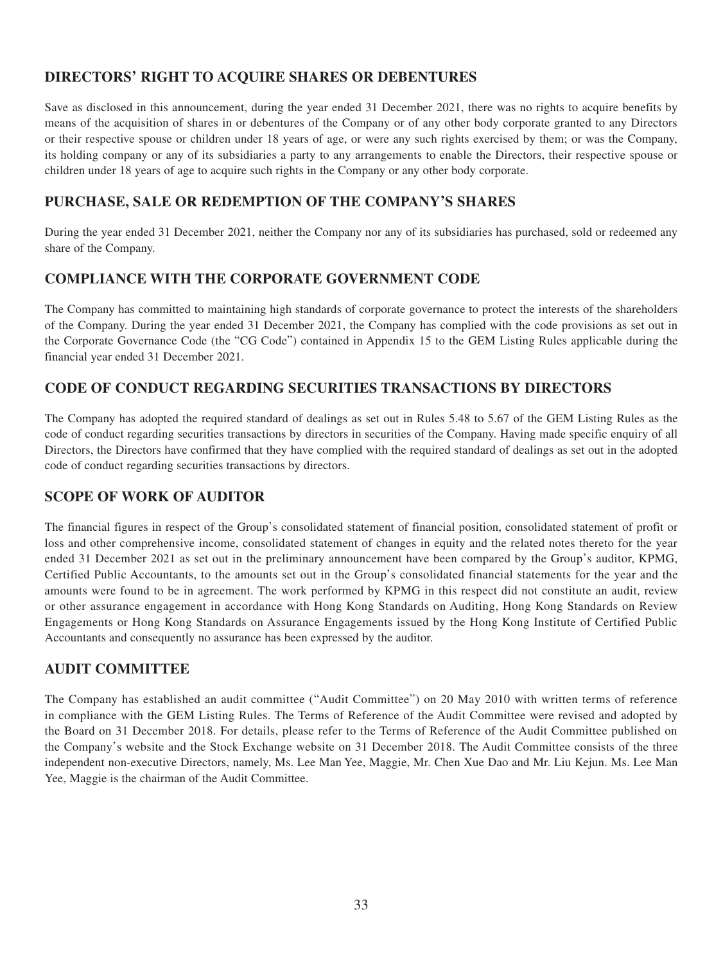# **DIRECTORS' RIGHT TO ACQUIRE SHARES OR DEBENTURES**

Save as disclosed in this announcement, during the year ended 31 December 2021, there was no rights to acquire benefits by means of the acquisition of shares in or debentures of the Company or of any other body corporate granted to any Directors or their respective spouse or children under 18 years of age, or were any such rights exercised by them; or was the Company, its holding company or any of its subsidiaries a party to any arrangements to enable the Directors, their respective spouse or children under 18 years of age to acquire such rights in the Company or any other body corporate.

# **PURCHASE, SALE OR REDEMPTION OF THE COMPANY'S SHARES**

During the year ended 31 December 2021, neither the Company nor any of its subsidiaries has purchased, sold or redeemed any share of the Company.

# **COMPLIANCE WITH THE CORPORATE GOVERNMENT CODE**

The Company has committed to maintaining high standards of corporate governance to protect the interests of the shareholders of the Company. During the year ended 31 December 2021, the Company has complied with the code provisions as set out in the Corporate Governance Code (the "CG Code") contained in Appendix 15 to the GEM Listing Rules applicable during the financial year ended 31 December 2021.

# **CODE OF CONDUCT REGARDING SECURITIES TRANSACTIONS BY DIRECTORS**

The Company has adopted the required standard of dealings as set out in Rules 5.48 to 5.67 of the GEM Listing Rules as the code of conduct regarding securities transactions by directors in securities of the Company. Having made specific enquiry of all Directors, the Directors have confirmed that they have complied with the required standard of dealings as set out in the adopted code of conduct regarding securities transactions by directors.

# **SCOPE OF WORK OF AUDITOR**

The financial figures in respect of the Group's consolidated statement of financial position, consolidated statement of profit or loss and other comprehensive income, consolidated statement of changes in equity and the related notes thereto for the year ended 31 December 2021 as set out in the preliminary announcement have been compared by the Group's auditor, KPMG, Certified Public Accountants, to the amounts set out in the Group's consolidated financial statements for the year and the amounts were found to be in agreement. The work performed by KPMG in this respect did not constitute an audit, review or other assurance engagement in accordance with Hong Kong Standards on Auditing, Hong Kong Standards on Review Engagements or Hong Kong Standards on Assurance Engagements issued by the Hong Kong Institute of Certified Public Accountants and consequently no assurance has been expressed by the auditor.

# **AUDIT COMMITTEE**

The Company has established an audit committee ("Audit Committee") on 20 May 2010 with written terms of reference in compliance with the GEM Listing Rules. The Terms of Reference of the Audit Committee were revised and adopted by the Board on 31 December 2018. For details, please refer to the Terms of Reference of the Audit Committee published on the Company's website and the Stock Exchange website on 31 December 2018. The Audit Committee consists of the three independent non-executive Directors, namely, Ms. Lee Man Yee, Maggie, Mr. Chen Xue Dao and Mr. Liu Kejun. Ms. Lee Man Yee, Maggie is the chairman of the Audit Committee.